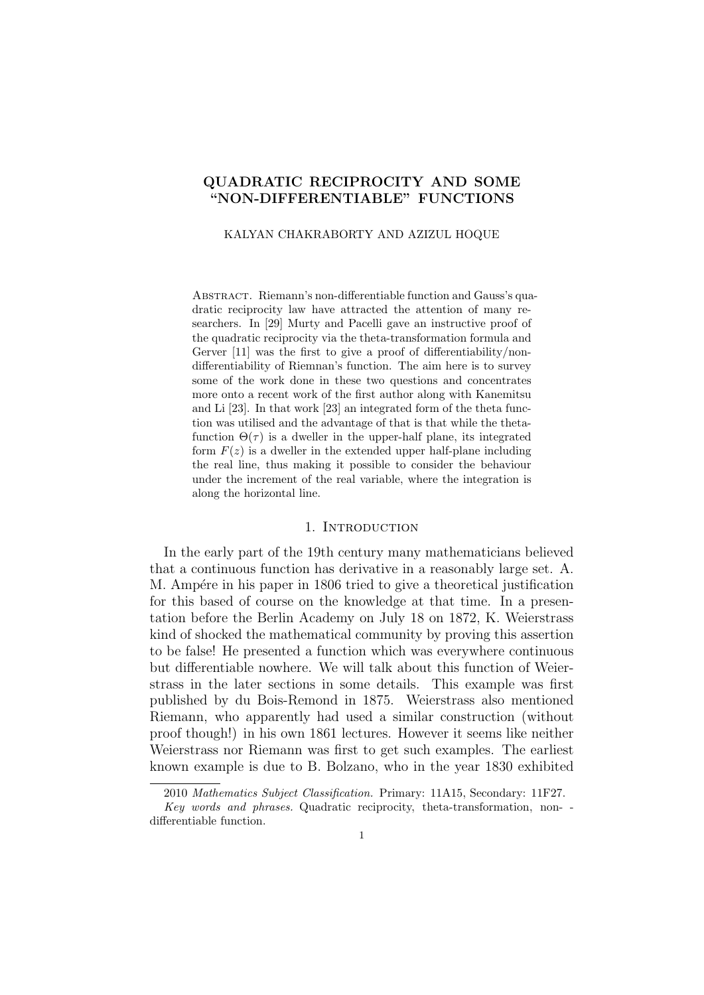# QUADRATIC RECIPROCITY AND SOME "NON-DIFFERENTIABLE" FUNCTIONS

#### KALYAN CHAKRABORTY AND AZIZUL HOQUE

ABSTRACT. Riemann's non-differentiable function and Gauss's quadratic reciprocity law have attracted the attention of many researchers. In [29] Murty and Pacelli gave an instructive proof of the quadratic reciprocity via the theta-transformation formula and Gerver [11] was the first to give a proof of differentiability/nondifferentiability of Riemnan's function. The aim here is to survey some of the work done in these two questions and concentrates more onto a recent work of the first author along with Kanemitsu and Li [23]. In that work [23] an integrated form of the theta function was utilised and the advantage of that is that while the thetafunction  $\Theta(\tau)$  is a dweller in the upper-half plane, its integrated form  $F(z)$  is a dweller in the extended upper half-plane including the real line, thus making it possible to consider the behaviour under the increment of the real variable, where the integration is along the horizontal line.

#### 1. INTRODUCTION

In the early part of the 19th century many mathematicians believed that a continuous function has derivative in a reasonably large set. A. M. Ampére in his paper in 1806 tried to give a theoretical justification for this based of course on the knowledge at that time. In a presentation before the Berlin Academy on July 18 on 1872, K. Weierstrass kind of shocked the mathematical community by proving this assertion to be false! He presented a function which was everywhere continuous but differentiable nowhere. We will talk about this function of Weierstrass in the later sections in some details. This example was first published by du Bois-Remond in 1875. Weierstrass also mentioned Riemann, who apparently had used a similar construction (without proof though!) in his own 1861 lectures. However it seems like neither Weierstrass nor Riemann was first to get such examples. The earliest known example is due to B. Bolzano, who in the year 1830 exhibited

<sup>2010</sup> Mathematics Subject Classification. Primary: 11A15, Secondary: 11F27.

Key words and phrases. Quadratic reciprocity, theta-transformation, non- differentiable function.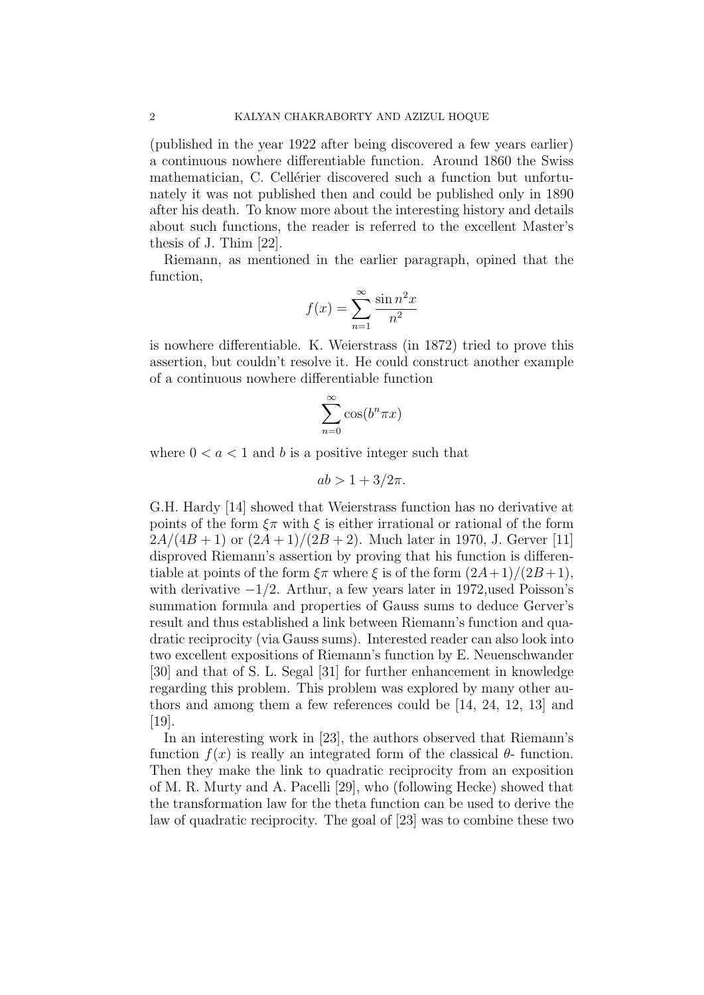(published in the year 1922 after being discovered a few years earlier) a continuous nowhere differentiable function. Around 1860 the Swiss mathematician, C. Cellérier discovered such a function but unfortunately it was not published then and could be published only in 1890 after his death. To know more about the interesting history and details about such functions, the reader is referred to the excellent Master's thesis of J. Thim [22].

Riemann, as mentioned in the earlier paragraph, opined that the function,

$$
f(x) = \sum_{n=1}^{\infty} \frac{\sin n^2 x}{n^2}
$$

is nowhere differentiable. K. Weierstrass (in 1872) tried to prove this assertion, but couldn't resolve it. He could construct another example of a continuous nowhere differentiable function

$$
\sum_{n=0}^{\infty} \cos(b^n \pi x)
$$

where  $0 < a < 1$  and b is a positive integer such that

$$
ab > 1 + 3/2\pi.
$$

G.H. Hardy [14] showed that Weierstrass function has no derivative at points of the form  $\xi \pi$  with  $\xi$  is either irrational or rational of the form  $2A/(4B+1)$  or  $(2A+1)/(2B+2)$ . Much later in 1970, J. Gerver [11] disproved Riemann's assertion by proving that his function is differentiable at points of the form  $\xi \pi$  where  $\xi$  is of the form  $(2A+1)/(2B+1)$ , with derivative  $-1/2$ . Arthur, a few years later in 1972, used Poisson's summation formula and properties of Gauss sums to deduce Gerver's result and thus established a link between Riemann's function and quadratic reciprocity (via Gauss sums). Interested reader can also look into two excellent expositions of Riemann's function by E. Neuenschwander [30] and that of S. L. Segal [31] for further enhancement in knowledge regarding this problem. This problem was explored by many other authors and among them a few references could be [14, 24, 12, 13] and [19].

In an interesting work in [23], the authors observed that Riemann's function  $f(x)$  is really an integrated form of the classical  $\theta$ - function. Then they make the link to quadratic reciprocity from an exposition of M. R. Murty and A. Pacelli [29], who (following Hecke) showed that the transformation law for the theta function can be used to derive the law of quadratic reciprocity. The goal of [23] was to combine these two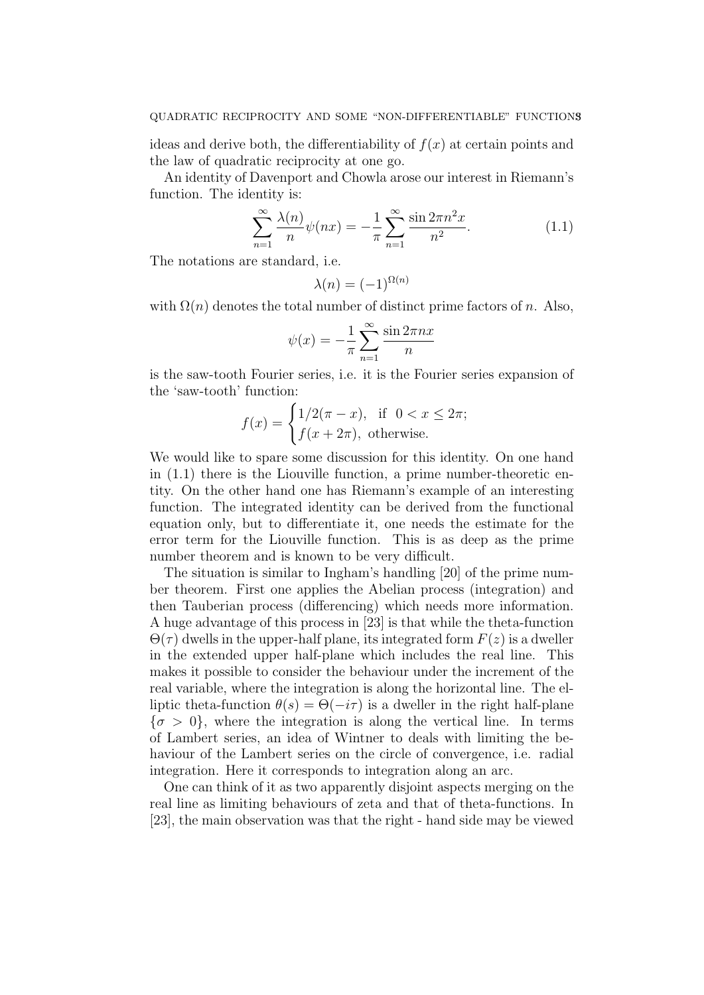ideas and derive both, the differentiability of  $f(x)$  at certain points and the law of quadratic reciprocity at one go.

An identity of Davenport and Chowla arose our interest in Riemann's function. The identity is:

$$
\sum_{n=1}^{\infty} \frac{\lambda(n)}{n} \psi(nx) = -\frac{1}{\pi} \sum_{n=1}^{\infty} \frac{\sin 2\pi n^2 x}{n^2}.
$$
 (1.1)

The notations are standard, i.e.

$$
\lambda(n) = (-1)^{\Omega(n)}
$$

with  $\Omega(n)$  denotes the total number of distinct prime factors of n. Also,

$$
\psi(x) = -\frac{1}{\pi} \sum_{n=1}^{\infty} \frac{\sin 2\pi nx}{n}
$$

is the saw-tooth Fourier series, i.e. it is the Fourier series expansion of the 'saw-tooth' function:

$$
f(x) = \begin{cases} 1/2(\pi - x), & \text{if } 0 < x \le 2\pi; \\ f(x + 2\pi), & \text{otherwise.} \end{cases}
$$

We would like to spare some discussion for this identity. On one hand in (1.1) there is the Liouville function, a prime number-theoretic entity. On the other hand one has Riemann's example of an interesting function. The integrated identity can be derived from the functional equation only, but to differentiate it, one needs the estimate for the error term for the Liouville function. This is as deep as the prime number theorem and is known to be very difficult.

The situation is similar to Ingham's handling [20] of the prime number theorem. First one applies the Abelian process (integration) and then Tauberian process (differencing) which needs more information. A huge advantage of this process in [23] is that while the theta-function  $\Theta(\tau)$  dwells in the upper-half plane, its integrated form  $F(z)$  is a dweller in the extended upper half-plane which includes the real line. This makes it possible to consider the behaviour under the increment of the real variable, where the integration is along the horizontal line. The elliptic theta-function  $\theta(s) = \Theta(-i\tau)$  is a dweller in the right half-plane  ${\sigma > 0}$ , where the integration is along the vertical line. In terms of Lambert series, an idea of Wintner to deals with limiting the behaviour of the Lambert series on the circle of convergence, i.e. radial integration. Here it corresponds to integration along an arc.

One can think of it as two apparently disjoint aspects merging on the real line as limiting behaviours of zeta and that of theta-functions. In [23], the main observation was that the right - hand side may be viewed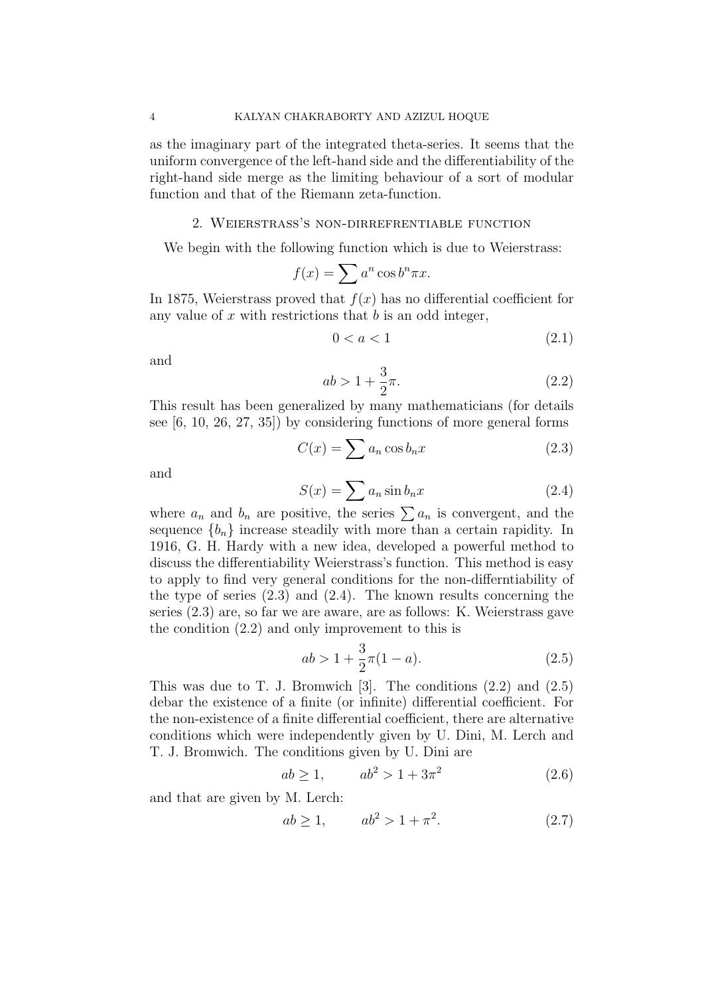as the imaginary part of the integrated theta-series. It seems that the uniform convergence of the left-hand side and the differentiability of the right-hand side merge as the limiting behaviour of a sort of modular function and that of the Riemann zeta-function.

#### 2. Weierstrass's non-dirrefrentiable function

We begin with the following function which is due to Weierstrass:

$$
f(x) = \sum a^n \cos b^n \pi x.
$$

In 1875, Weierstrass proved that  $f(x)$  has no differential coefficient for any value of  $x$  with restrictions that  $b$  is an odd integer,

$$
0 < a < 1 \tag{2.1}
$$

and

$$
ab > 1 + \frac{3}{2}\pi.
$$
 (2.2)

This result has been generalized by many mathematicians (for details see [6, 10, 26, 27, 35]) by considering functions of more general forms

$$
C(x) = \sum a_n \cos b_n x \tag{2.3}
$$

and

$$
S(x) = \sum a_n \sin b_n x \tag{2.4}
$$

where  $a_n$  and  $b_n$  are positive, the series  $\sum a_n$  is convergent, and the sequence  ${b_n}$  increase steadily with more than a certain rapidity. In 1916, G. H. Hardy with a new idea, developed a powerful method to discuss the differentiability Weierstrass's function. This method is easy to apply to find very general conditions for the non-differntiability of the type of series  $(2.3)$  and  $(2.4)$ . The known results concerning the series (2.3) are, so far we are aware, are as follows: K. Weierstrass gave the condition (2.2) and only improvement to this is

$$
ab > 1 + \frac{3}{2}\pi(1 - a). \tag{2.5}
$$

This was due to T. J. Bromwich  $[3]$ . The conditions  $(2.2)$  and  $(2.5)$ debar the existence of a finite (or infinite) differential coefficient. For the non-existence of a finite differential coefficient, there are alternative conditions which were independently given by U. Dini, M. Lerch and T. J. Bromwich. The conditions given by U. Dini are

$$
ab \ge 1, \qquad ab^2 > 1 + 3\pi^2 \tag{2.6}
$$

and that are given by M. Lerch:

$$
ab \ge 1, \qquad ab^2 > 1 + \pi^2. \tag{2.7}
$$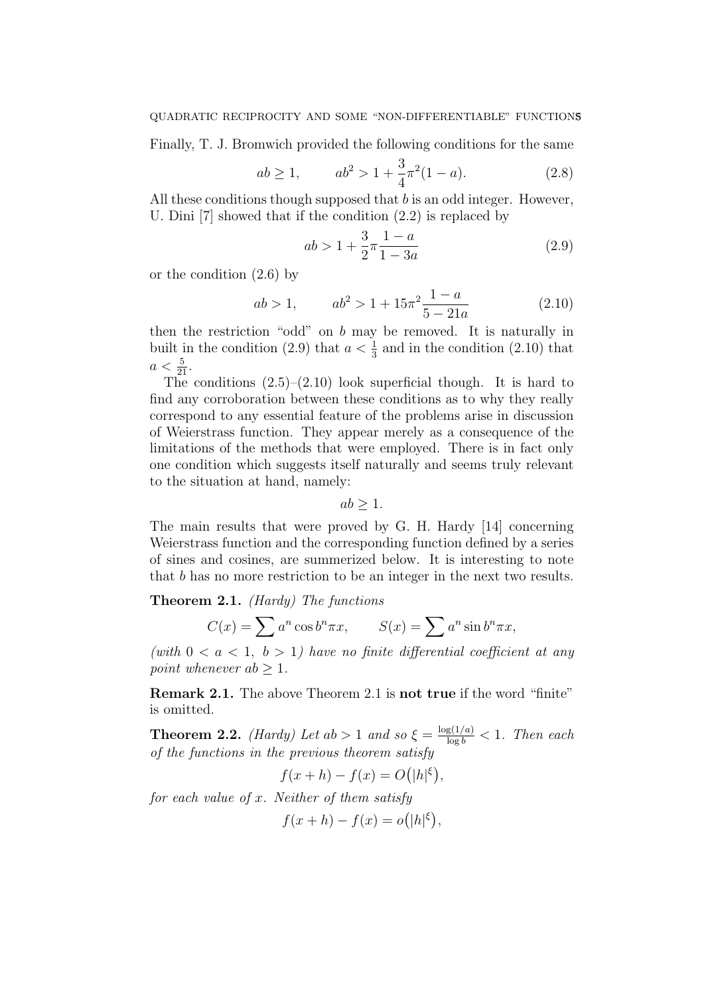Finally, T. J. Bromwich provided the following conditions for the same

$$
ab \ge 1, \qquad ab^2 > 1 + \frac{3}{4}\pi^2(1-a). \tag{2.8}
$$

All these conditions though supposed that  $b$  is an odd integer. However, U. Dini [7] showed that if the condition (2.2) is replaced by

$$
ab > 1 + \frac{3}{2}\pi \frac{1-a}{1-3a} \tag{2.9}
$$

or the condition (2.6) by

$$
ab > 1, \t ab2 > 1 + 15\pi^{2} \frac{1-a}{5 - 21a}
$$
\t(2.10)

then the restriction "odd" on b may be removed. It is naturally in built in the condition (2.9) that  $a < \frac{1}{3}$  and in the condition (2.10) that  $a < \frac{5}{21}$ .

The conditions  $(2.5)$ – $(2.10)$  look superficial though. It is hard to find any corroboration between these conditions as to why they really correspond to any essential feature of the problems arise in discussion of Weierstrass function. They appear merely as a consequence of the limitations of the methods that were employed. There is in fact only one condition which suggests itself naturally and seems truly relevant to the situation at hand, namely:

$$
ab \geq 1.
$$

The main results that were proved by G. H. Hardy [14] concerning Weierstrass function and the corresponding function defined by a series of sines and cosines, are summerized below. It is interesting to note that b has no more restriction to be an integer in the next two results.

# **Theorem 2.1.** *(Hardy) The functions*

$$
C(x) = \sum a^n \cos b^n \pi x, \qquad S(x) = \sum a^n \sin b^n \pi x,
$$

(with  $0 < a < 1, b > 1$ ) have no finite differential coefficient at any point whenever  $ab \geq 1$ .

Remark 2.1. The above Theorem 2.1 is not true if the word "finite" is omitted.

**Theorem 2.2.** *(Hardy)* Let  $ab > 1$  and so  $\xi = \frac{\log(1/a)}{\log b} < 1$ . Then each of the functions in the previous theorem satisfy

$$
f(x+h) - f(x) = O(|h|^\xi),
$$

for each value of  $x$ . Neither of them satisfy

$$
f(x+h) - f(x) = o(|h|^\xi),
$$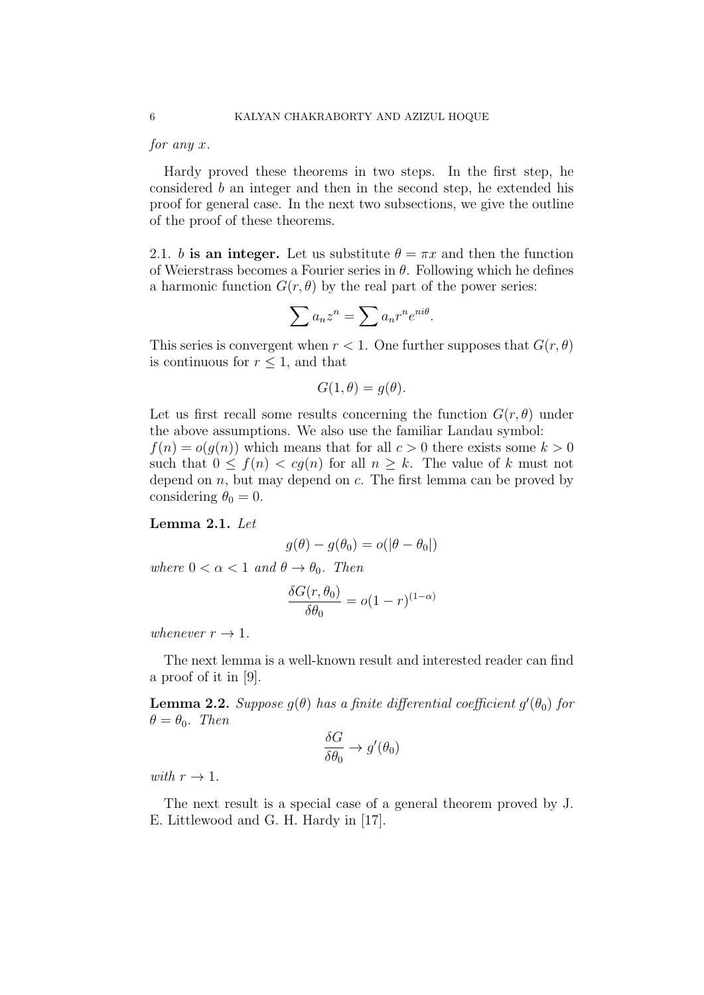#### for any x.

Hardy proved these theorems in two steps. In the first step, he considered b an integer and then in the second step, he extended his proof for general case. In the next two subsections, we give the outline of the proof of these theorems.

2.1. b is an integer. Let us substitute  $\theta = \pi x$  and then the function of Weierstrass becomes a Fourier series in  $\theta$ . Following which he defines a harmonic function  $G(r, \theta)$  by the real part of the power series:

$$
\sum a_n z^n = \sum a_n r^n e^{ni\theta}.
$$

This series is convergent when  $r < 1$ . One further supposes that  $G(r, \theta)$ is continuous for  $r \leq 1$ , and that

$$
G(1,\theta) = g(\theta).
$$

Let us first recall some results concerning the function  $G(r, \theta)$  under the above assumptions. We also use the familiar Landau symbol:

 $f(n) = o(q(n))$  which means that for all  $c > 0$  there exists some  $k > 0$ such that  $0 \le f(n) < cg(n)$  for all  $n \ge k$ . The value of k must not depend on  $n$ , but may depend on  $c$ . The first lemma can be proved by considering  $\theta_0 = 0$ .

## Lemma 2.1. Let

$$
g(\theta) - g(\theta_0) = o(|\theta - \theta_0|)
$$

where  $0 < \alpha < 1$  and  $\theta \rightarrow \theta_0$ . Then

$$
\frac{\delta G(r, \theta_0)}{\delta \theta_0} = o(1 - r)^{(1 - \alpha)}
$$

whenever  $r \to 1$ .

The next lemma is a well-known result and interested reader can find a proof of it in [9].

**Lemma 2.2.** Suppose  $g(\theta)$  has a finite differential coefficient  $g'(\theta_0)$  for  $\theta = \theta_0$ . Then

$$
\frac{\delta G}{\delta \theta_0} \to g'(\theta_0)
$$

with  $r \to 1$ .

The next result is a special case of a general theorem proved by J. E. Littlewood and G. H. Hardy in [17].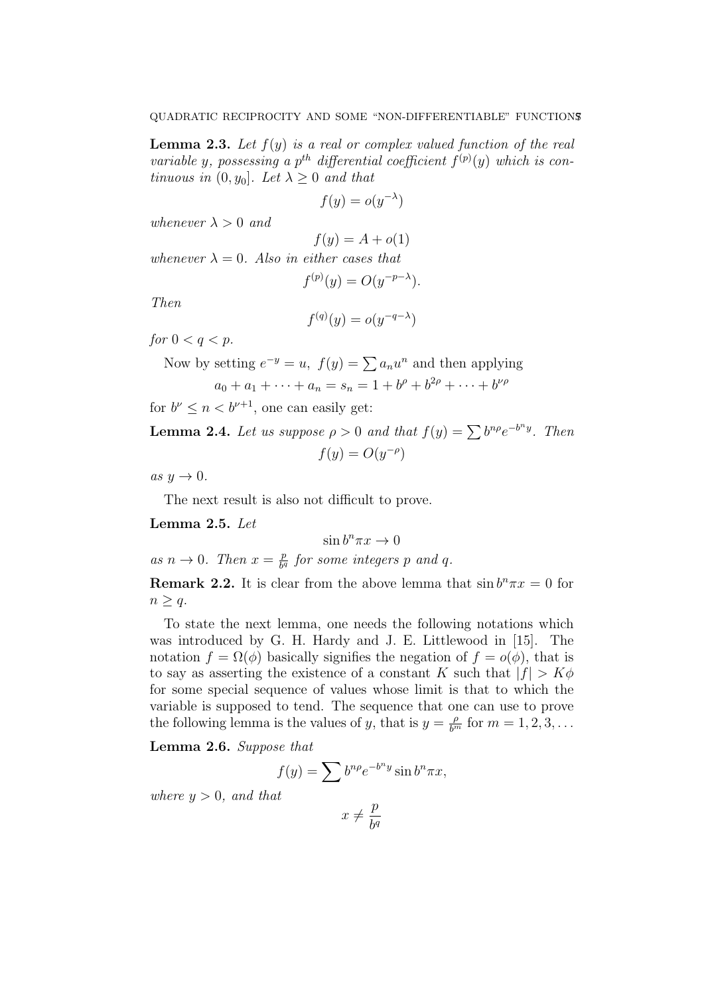**Lemma 2.3.** Let  $f(y)$  is a real or complex valued function of the real variable y, possessing a p<sup>th</sup> differential coefficient  $f^{(p)}(y)$  which is continuous in  $(0, y_0]$ . Let  $\lambda \geq 0$  and that

$$
f(y) = o(y^{-\lambda})
$$

whenever  $\lambda > 0$  and

$$
f(y) = A + o(1)
$$

whenever  $\lambda = 0$ . Also in either cases that

$$
f^{(p)}(y) = O(y^{-p-\lambda}).
$$

Then

$$
f^{(q)}(y) = o(y^{-q-\lambda})
$$

for  $0 < q < p$ .

Now by setting 
$$
e^{-y} = u
$$
,  $f(y) = \sum a_n u^n$  and then applying

$$
a_0 + a_1 + \dots + a_n = s_n = 1 + b^{\rho} + b^{2\rho} + \dots + b^{\nu\rho}
$$

for  $b^{\nu} \leq n < b^{\nu+1}$ , one can easily get:

**Lemma 2.4.** Let us suppose  $\rho > 0$  and that  $f(y) = \sum b^{n\rho} e^{-b^n y}$ . Then  $f(y) = O(y^{-\rho})$ 

as  $y \to 0$ .

The next result is also not difficult to prove.

Lemma 2.5. Let

$$
\sin b^n \pi x \to 0
$$

as  $n \to 0$ . Then  $x = \frac{p}{b^q}$  $\frac{p}{b^q}$  for some integers  $p$  and  $q$ .

**Remark 2.2.** It is clear from the above lemma that  $\sin b^n \pi x = 0$  for  $n \geq q$ .

To state the next lemma, one needs the following notations which was introduced by G. H. Hardy and J. E. Littlewood in [15]. The notation  $f = \Omega(\phi)$  basically signifies the negation of  $f = o(\phi)$ , that is to say as asserting the existence of a constant K such that  $|f| > K\phi$ for some special sequence of values whose limit is that to which the variable is supposed to tend. The sequence that one can use to prove the following lemma is the values of y, that is  $y = \frac{\rho}{b^m}$  for  $m = 1, 2, 3, \ldots$ 

Lemma 2.6. Suppose that

$$
f(y) = \sum b^{n\rho} e^{-b^n y} \sin b^n \pi x,
$$

where  $y > 0$ , and that

$$
x \neq \frac{p}{b^q}
$$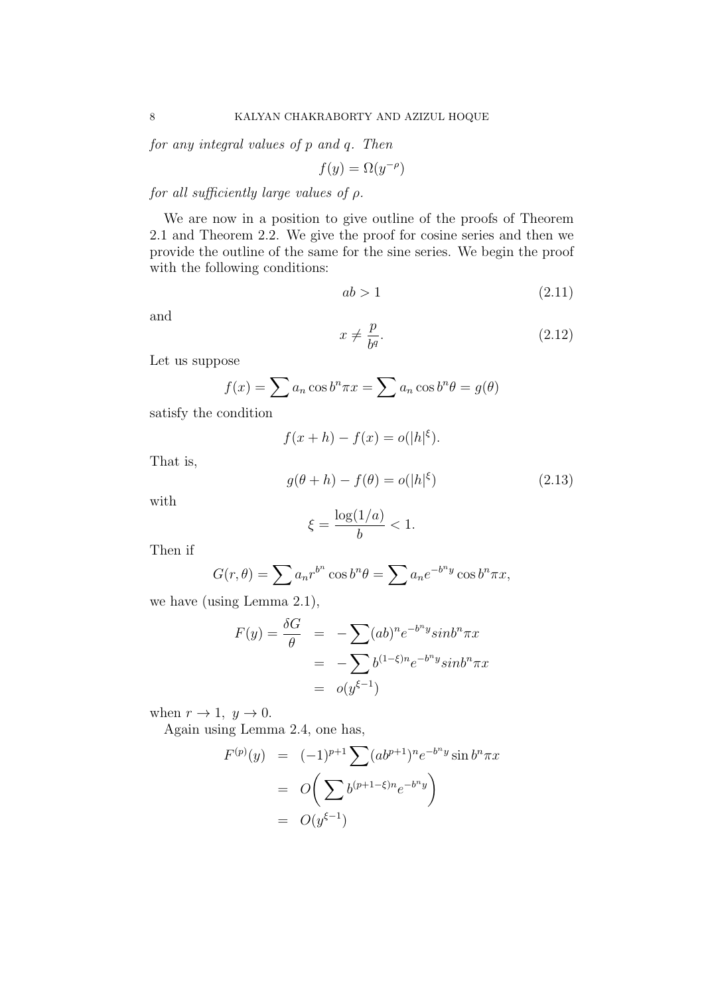for any integral values of p and q. Then

$$
f(y) = \Omega(y^{-\rho})
$$

for all sufficiently large values of  $\rho$ .

We are now in a position to give outline of the proofs of Theorem 2.1 and Theorem 2.2. We give the proof for cosine series and then we provide the outline of the same for the sine series. We begin the proof with the following conditions:

$$
ab > 1\tag{2.11}
$$

and

$$
x \neq \frac{p}{b^q}.\tag{2.12}
$$

Let us suppose

$$
f(x) = \sum a_n \cos b^n \pi x = \sum a_n \cos b^n \theta = g(\theta)
$$

satisfy the condition

$$
f(x+h) - f(x) = o(|h|^{\xi}).
$$

That is,

$$
g(\theta + h) - f(\theta) = o(|h|^{\xi})
$$
\n(2.13)

with

$$
\xi = \frac{\log(1/a)}{b} < 1.
$$

Then if

$$
G(r,\theta) = \sum a_n r^{b^n} \cos b^n \theta = \sum a_n e^{-b^n y} \cos b^n \pi x,
$$

we have (using Lemma 2.1),

$$
F(y) = \frac{\delta G}{\theta} = -\sum (ab)^n e^{-b^ny} sinh^n \pi x
$$
  
= 
$$
-\sum b^{(1-\xi)n} e^{-b^ny} sinh^n \pi x
$$
  
= 
$$
o(y^{\xi-1})
$$

when  $r \to 1$ ,  $y \to 0$ .

Again using Lemma 2.4, one has,

$$
F^{(p)}(y) = (-1)^{p+1} \sum (ab^{p+1})^n e^{-b^ny} \sin b^n \pi x
$$
  
=  $O\left(\sum b^{(p+1-\xi)n} e^{-b^ny}\right)$   
=  $O(y^{\xi-1})$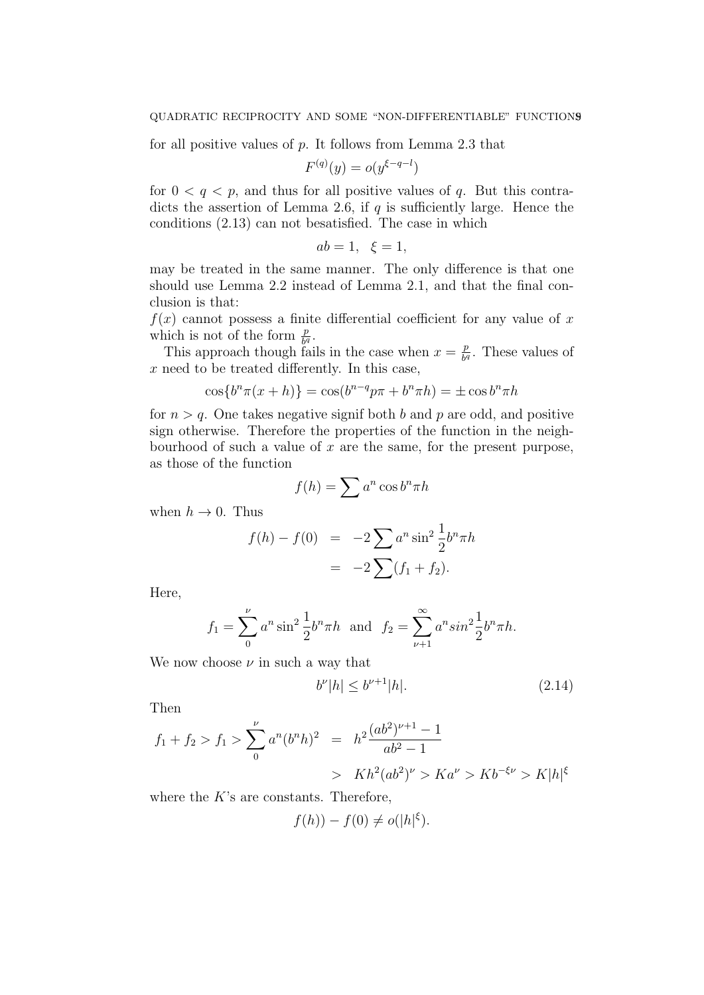for all positive values of  $p$ . It follows from Lemma 2.3 that

$$
F^{(q)}(y) = o(y^{\xi - q - l})
$$

for  $0 < q < p$ , and thus for all positive values of q. But this contradicts the assertion of Lemma 2.6, if  $q$  is sufficiently large. Hence the conditions (2.13) can not besatisfied. The case in which

$$
ab = 1, \xi = 1,
$$

may be treated in the same manner. The only difference is that one should use Lemma 2.2 instead of Lemma 2.1, and that the final conclusion is that:

 $f(x)$  cannot possess a finite differential coefficient for any value of x which is not of the form  $\frac{p}{b^q}$ .

This approach though fails in the case when  $x = \frac{p}{b^d}$  $\frac{p}{b^q}$ . These values of  $x$  need to be treated differently. In this case,

$$
\cos\{b^n \pi(x+h)\} = \cos(b^{n-q}p\pi + b^n \pi h) = \pm \cos b^n \pi h
$$

for  $n > q$ . One takes negative signif both b and p are odd, and positive sign otherwise. Therefore the properties of the function in the neighbourhood of such a value of  $x$  are the same, for the present purpose, as those of the function

$$
f(h) = \sum a^n \cos b^n \pi h
$$

when  $h \to 0$ . Thus

$$
f(h) - f(0) = -2 \sum a^n \sin^2 \frac{1}{2} b^n \pi h
$$
  
= -2 \sum (f\_1 + f\_2).

Here,

$$
f_1 = \sum_{0}^{\nu} a^n \sin^2 \frac{1}{2} b^n \pi h
$$
 and  $f_2 = \sum_{\nu+1}^{\infty} a^n \sin^2 \frac{1}{2} b^n \pi h$ .

We now choose  $\nu$  in such a way that

$$
b^{\nu}|h| \le b^{\nu+1}|h|.\tag{2.14}
$$

Then

$$
f_1 + f_2 > f_1 > \sum_{0}^{\nu} a^n (b^n h)^2 = h^2 \frac{(ab^2)^{\nu+1} - 1}{ab^2 - 1}
$$
  
>  $Kh^2 (ab^2)^{\nu} > Ka^{\nu} > Kb^{-\xi \nu} > K|h|^{\xi}$ 

where the  $K$ 's are constants. Therefore,

$$
f(h)) - f(0) \neq o(|h|^{\xi}).
$$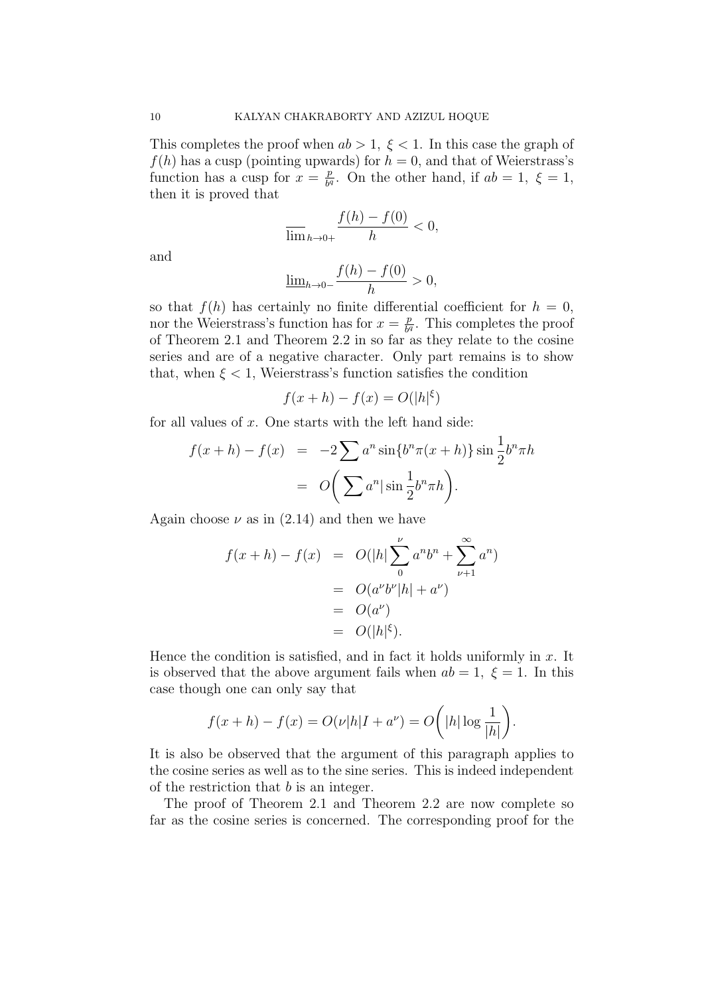This completes the proof when  $ab > 1$ ,  $\xi < 1$ . In this case the graph of  $f(h)$  has a cusp (pointing upwards) for  $h = 0$ , and that of Weierstrass's function has a cusp for  $x = \frac{p}{b}$  $\frac{p}{b^q}$ . On the other hand, if  $ab = 1, \xi = 1$ , then it is proved that

$$
\overline{\lim}_{h\to 0+}\frac{f(h)-f(0)}{h}<0,
$$

and

$$
\underline{\lim}_{h \to 0-} \frac{f(h) - f(0)}{h} > 0,
$$

so that  $f(h)$  has certainly no finite differential coefficient for  $h = 0$ , nor the Weierstrass's function has for  $x = \frac{p}{b^d}$  $\frac{p}{b^q}$ . This completes the proof of Theorem 2.1 and Theorem 2.2 in so far as they relate to the cosine series and are of a negative character. Only part remains is to show that, when  $\xi < 1$ , Weierstrass's function satisfies the condition

$$
f(x+h) - f(x) = O(|h|^\xi)
$$

for all values of  $x$ . One starts with the left hand side:

$$
f(x+h) - f(x) = -2 \sum a^n \sin\{b^n \pi(x+h)\} \sin\frac{1}{2} b^n \pi h
$$

$$
= O\left(\sum a^n |\sin\frac{1}{2} b^n \pi h\right).
$$

Again choose  $\nu$  as in (2.14) and then we have

$$
f(x+h) - f(x) = O(|h| \sum_{0}^{b} a^n b^n + \sum_{\nu+1}^{\infty} a^n)
$$
  
= 
$$
O(a^{\nu} b^{\nu} |h| + a^{\nu})
$$
  
= 
$$
O(a^{\nu})
$$
  
= 
$$
O(|h|^{\xi}).
$$

Hence the condition is satisfied, and in fact it holds uniformly in  $x$ . It is observed that the above argument fails when  $ab = 1$ ,  $\xi = 1$ . In this case though one can only say that

$$
f(x+h) - f(x) = O(\nu|h|I + a^{\nu}) = O\bigg(|h|\log\frac{1}{|h|}\bigg).
$$

It is also be observed that the argument of this paragraph applies to the cosine series as well as to the sine series. This is indeed independent of the restriction that  $b$  is an integer.

The proof of Theorem 2.1 and Theorem 2.2 are now complete so far as the cosine series is concerned. The corresponding proof for the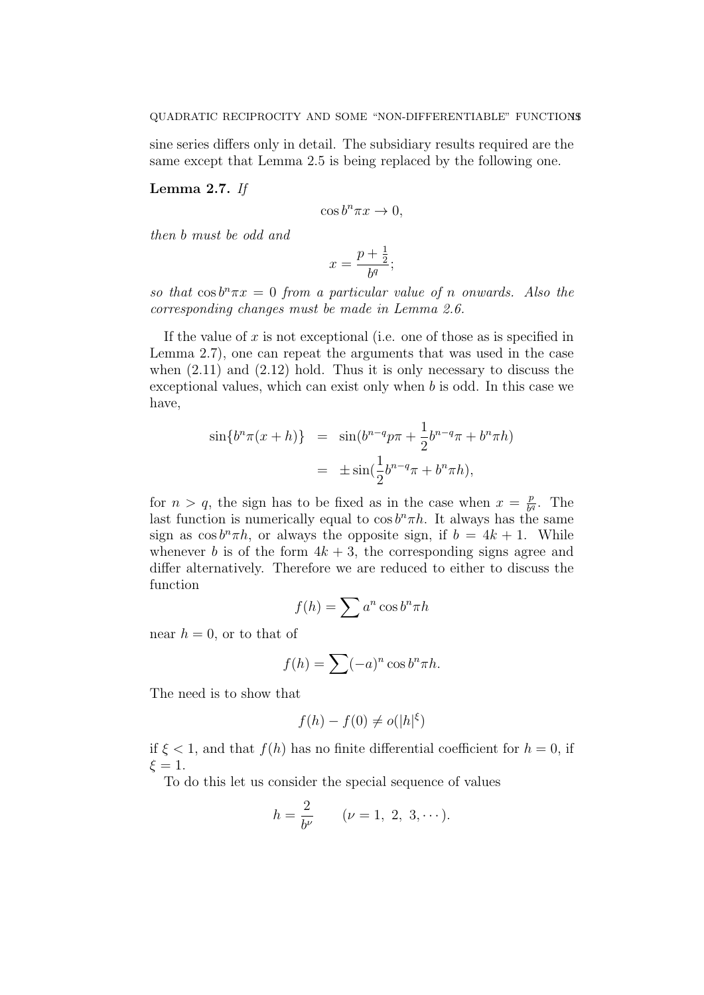sine series differs only in detail. The subsidiary results required are the same except that Lemma 2.5 is being replaced by the following one.

## Lemma 2.7. If

$$
\cos b^n \pi x \to 0,
$$

then b must be odd and

$$
x = \frac{p + \frac{1}{2}}{b^q};
$$

so that  $\cos b^n \pi x = 0$  from a particular value of n onwards. Also the corresponding changes must be made in Lemma 2.6.

If the value of  $x$  is not exceptional (i.e. one of those as is specified in Lemma 2.7), one can repeat the arguments that was used in the case when  $(2.11)$  and  $(2.12)$  hold. Thus it is only necessary to discuss the exceptional values, which can exist only when b is odd. In this case we have,

$$
\sin\{b^n \pi(x+h)\} = \sin(b^{n-q}p\pi + \frac{1}{2}b^{n-q}\pi + b^n \pi h) \n= \pm \sin(\frac{1}{2}b^{n-q}\pi + b^n \pi h),
$$

for  $n > q$ , the sign has to be fixed as in the case when  $x = \frac{p}{b^d}$  $\frac{p}{b^q}$ . The last function is numerically equal to  $\cos b^n \pi h$ . It always has the same sign as  $\cos b^{n}\pi h$ , or always the opposite sign, if  $b = 4k + 1$ . While whenever b is of the form  $4k + 3$ , the corresponding signs agree and differ alternatively. Therefore we are reduced to either to discuss the function

$$
f(h) = \sum a^n \cos b^n \pi h
$$

near  $h = 0$ , or to that of

$$
f(h) = \sum (-a)^n \cos b^n \pi h.
$$

The need is to show that

$$
f(h) - f(0) \neq o(|h|^\xi)
$$

if  $\xi < 1$ , and that  $f(h)$  has no finite differential coefficient for  $h = 0$ , if  $\xi = 1$ .

To do this let us consider the special sequence of values

$$
h = \frac{2}{b^{\nu}} \qquad (\nu = 1, 2, 3, \cdots).
$$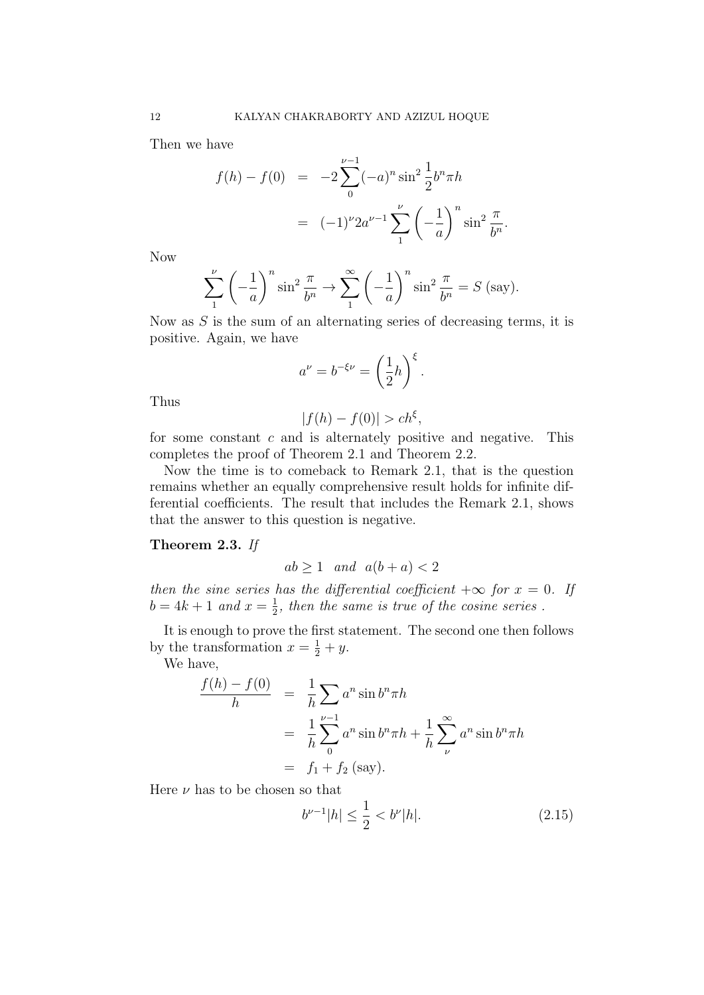Then we have

$$
f(h) - f(0) = -2 \sum_{0}^{\nu - 1} (-a)^n \sin^2 \frac{1}{2} b^n \pi h
$$
  
= 
$$
(-1)^{\nu} 2a^{\nu - 1} \sum_{1}^{\nu} \left(-\frac{1}{a}\right)^n \sin^2 \frac{\pi}{b^n}.
$$

Now

$$
\sum_{1}^{\nu} \left(-\frac{1}{a}\right)^n \sin^2 \frac{\pi}{b^n} \to \sum_{1}^{\infty} \left(-\frac{1}{a}\right)^n \sin^2 \frac{\pi}{b^n} = S \text{ (say)}.
$$

Now as  $S$  is the sum of an alternating series of decreasing terms, it is positive. Again, we have

$$
a^{\nu} = b^{-\xi \nu} = \left(\frac{1}{2}h\right)^{\xi}.
$$

Thus

$$
|f(h) - f(0)| > ch^{\xi},
$$

for some constant  $c$  and is alternately positive and negative. This completes the proof of Theorem 2.1 and Theorem 2.2.

Now the time is to comeback to Remark 2.1, that is the question remains whether an equally comprehensive result holds for infinite differential coefficients. The result that includes the Remark 2.1, shows that the answer to this question is negative.

# Theorem 2.3. If

$$
ab \ge 1 \quad and \quad a(b+a) < 2
$$

then the sine series has the differential coefficient  $+\infty$  for  $x = 0$ . If  $b = 4k + 1$  and  $x = \frac{1}{2}$  $\frac{1}{2}$ , then the same is true of the cosine series.

It is enough to prove the first statement. The second one then follows by the transformation  $x = \frac{1}{2} + y$ .

We have,

$$
\frac{f(h) - f(0)}{h} = \frac{1}{h} \sum_{\nu=1} a^n \sin b^n \pi h
$$
  
= 
$$
\frac{1}{h} \sum_{0}^{\nu=1} a^n \sin b^n \pi h + \frac{1}{h} \sum_{\nu}^{\infty} a^n \sin b^n \pi h
$$
  
= 
$$
f_1 + f_2 \text{ (say)}.
$$

Here  $\nu$  has to be chosen so that

$$
b^{\nu - 1}|h| \le \frac{1}{2} < b^{\nu}|h|.\tag{2.15}
$$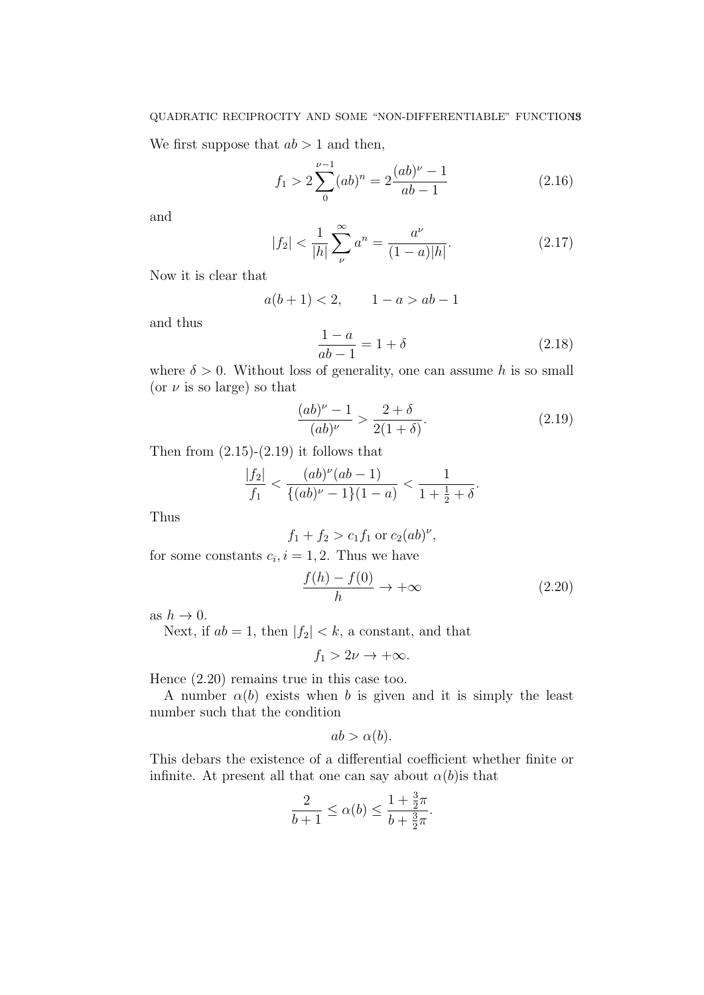We first suppose that  $ab > 1$  and then,

$$
f_1 > 2\sum_{0}^{\nu - 1} (ab)^n = 2\frac{(ab)^{\nu} - 1}{ab - 1}
$$
 (2.16)

and

$$
|f_2| < \frac{1}{|h|} \sum_{\nu}^{\infty} a^n = \frac{a^{\nu}}{(1-a)|h|}. \tag{2.17}
$$

Now it is clear that

$$
a(b+1) < 2, \qquad 1 - a > ab - 1
$$

and thus

$$
\frac{1-a}{ab-1} = 1 + \delta \tag{2.18}
$$

where  $\delta > 0$ . Without loss of generality, one can assume h is so small (or  $\nu$  is so large) so that

$$
\frac{(ab)^{\nu} - 1}{(ab)^{\nu}} > \frac{2 + \delta}{2(1 + \delta)}.
$$
\n(2.19)

Then from  $(2.15)-(2.19)$  it follows that

$$
\frac{|f_2|}{f_1} < \frac{(ab)^{\nu}(ab-1)}{\{(ab)^{\nu}-1\}(1-a)} < \frac{1}{1+\frac{1}{2}+\delta}.
$$

Thus

$$
f_1 + f_2 > c_1 f_1
$$
 or  $c_2(ab)^{\nu}$ ,

for some constants  $c_i, i = 1, 2$ . Thus we have

$$
\frac{f(h) - f(0)}{h} \to +\infty \tag{2.20}
$$

as  $h \to 0$ .

Next, if  $ab = 1$ , then  $|f_2| < k$ , a constant, and that

 $f_1 > 2\nu \rightarrow +\infty$ .

Hence (2.20) remains true in this case too.

A number  $\alpha(b)$  exists when b is given and it is simply the least number such that the condition

$$
ab > \alpha(b).
$$

This debars the existence of a differential coefficient whether finite or infinite. At present all that one can say about  $\alpha(b)$  is that

$$
\frac{2}{b+1} \le \alpha(b) \le \frac{1+\frac{3}{2}\pi}{b+\frac{3}{2}\pi}.
$$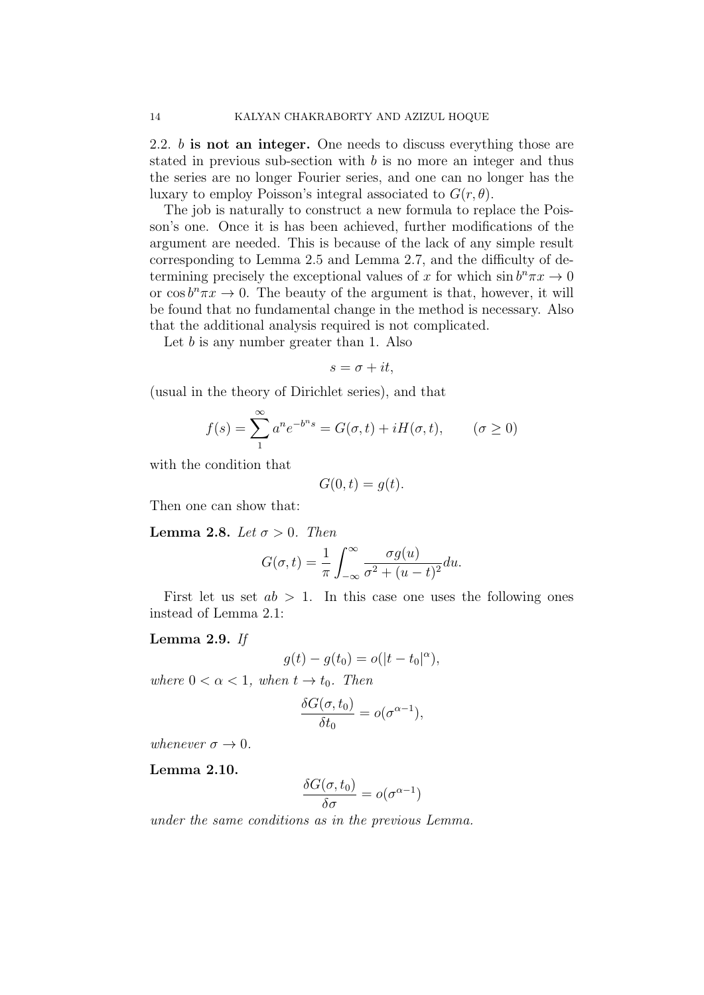2.2. b is not an integer. One needs to discuss everything those are stated in previous sub-section with  $b$  is no more an integer and thus the series are no longer Fourier series, and one can no longer has the luxary to employ Poisson's integral associated to  $G(r, \theta)$ .

The job is naturally to construct a new formula to replace the Poisson's one. Once it is has been achieved, further modifications of the argument are needed. This is because of the lack of any simple result corresponding to Lemma 2.5 and Lemma 2.7, and the difficulty of determining precisely the exceptional values of x for which  $\sin b^n \pi x \to 0$ or  $\cos b^n \pi x \to 0$ . The beauty of the argument is that, however, it will be found that no fundamental change in the method is necessary. Also that the additional analysis required is not complicated.

Let  $b$  is any number greater than 1. Also

$$
s = \sigma + it,
$$

(usual in the theory of Dirichlet series), and that

$$
f(s) = \sum_{n=1}^{\infty} a^n e^{-b^n s} = G(\sigma, t) + iH(\sigma, t), \qquad (\sigma \ge 0)
$$

with the condition that

$$
G(0,t) = g(t).
$$

Then one can show that:

Lemma 2.8. Let  $\sigma > 0$ . Then

$$
G(\sigma, t) = \frac{1}{\pi} \int_{-\infty}^{\infty} \frac{\sigma g(u)}{\sigma^2 + (u - t)^2} du.
$$

First let us set  $ab > 1$ . In this case one uses the following ones instead of Lemma 2.1:

## Lemma 2.9. If

$$
g(t) - g(t_0) = o(|t - t_0|^{\alpha}),
$$

where  $0 < \alpha < 1$ , when  $t \to t_0$ . Then

$$
\frac{\delta G(\sigma, t_0)}{\delta t_0} = o(\sigma^{\alpha - 1}),
$$

whenever  $\sigma \to 0$ .

Lemma 2.10.

$$
\frac{\delta G(\sigma, t_0)}{\delta \sigma} = o(\sigma^{\alpha - 1})
$$

under the same conditions as in the previous Lemma.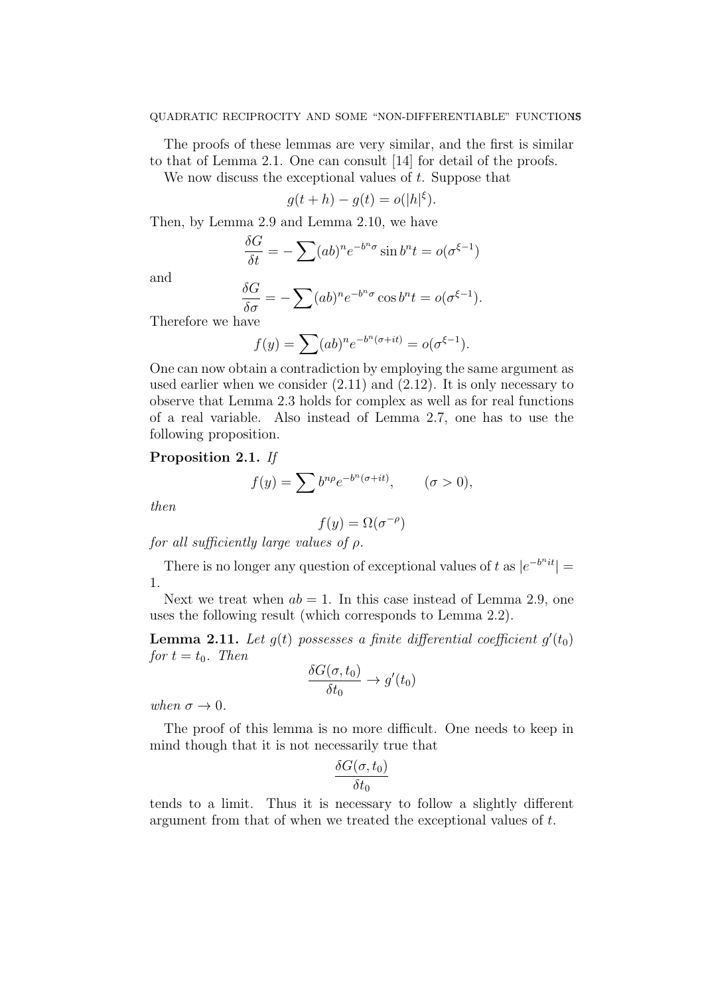The proofs of these lemmas are very similar, and the first is similar to that of Lemma 2.1. One can consult [14] for detail of the proofs.

We now discuss the exceptional values of  $t$ . Suppose that

$$
g(t+h) - g(t) = o(|h|^{\xi}).
$$

Then, by Lemma 2.9 and Lemma 2.10, we have

$$
\frac{\delta G}{\delta t} = -\sum (ab)^n e^{-b^n \sigma} \sin b^n t = o(\sigma^{\xi - 1})
$$

and

$$
\frac{\delta G}{\delta \sigma} = -\sum (ab)^n e^{-b^n \sigma} \cos b^n t = o(\sigma^{\xi-1}).
$$

Therefore we have

$$
f(y) = \sum (ab)^n e^{-b^n(\sigma+it)} = o(\sigma^{\xi-1}).
$$

One can now obtain a contradiction by employing the same argument as used earlier when we consider (2.11) and (2.12). It is only necessary to observe that Lemma 2.3 holds for complex as well as for real functions of a real variable. Also instead of Lemma 2.7, one has to use the following proposition.

# Proposition 2.1. If

$$
f(y) = \sum b^{n\rho} e^{-b^n(\sigma+it)}, \qquad (\sigma > 0),
$$

then

$$
f(y) = \Omega(\sigma^{-\rho})
$$

for all sufficiently large values of  $\rho$ .

There is no longer any question of exceptional values of t as  $|e^{-b^n i t}|$  = 1.

Next we treat when  $ab = 1$ . In this case instead of Lemma 2.9, one uses the following result (which corresponds to Lemma 2.2).

**Lemma 2.11.** Let  $g(t)$  possesses a finite differential coefficient  $g'(t_0)$ for  $t = t_0$ . Then

$$
\frac{\delta G(\sigma, t_0)}{\delta t_0} \to g'(t_0)
$$

when  $\sigma \rightarrow 0$ .

The proof of this lemma is no more difficult. One needs to keep in mind though that it is not necessarily true that

$$
\frac{\delta G(\sigma,t_0)}{\delta t_0}
$$

tends to a limit. Thus it is necessary to follow a slightly different argument from that of when we treated the exceptional values of t.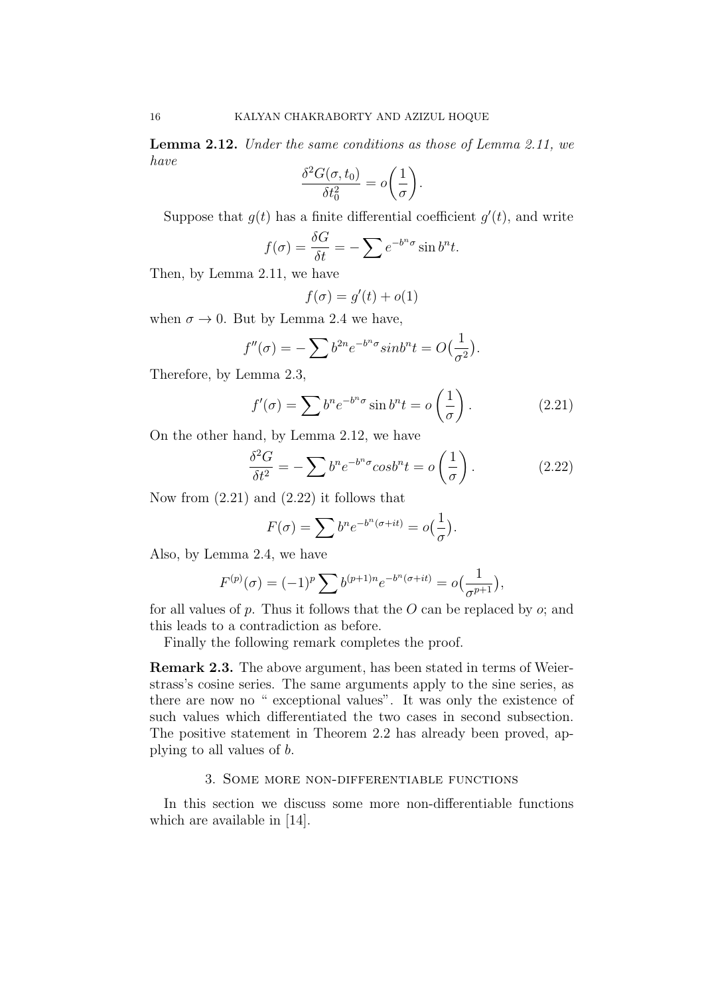Lemma 2.12. Under the same conditions as those of Lemma 2.11, we have

$$
\frac{\delta^2 G(\sigma, t_0)}{\delta t_0^2} = o\left(\frac{1}{\sigma}\right).
$$

Suppose that  $g(t)$  has a finite differential coefficient  $g'(t)$ , and write

$$
f(\sigma) = \frac{\delta G}{\delta t} = -\sum e^{-b^n \sigma} \sin b^n t.
$$

Then, by Lemma 2.11, we have

$$
f(\sigma) = g'(t) + o(1)
$$

when  $\sigma \to 0$ . But by Lemma 2.4 we have,

$$
f''(\sigma) = -\sum b^{2n} e^{-b^n \sigma} sinh^n t = O\left(\frac{1}{\sigma^2}\right).
$$

Therefore, by Lemma 2.3,

$$
f'(\sigma) = \sum b^n e^{-b^n \sigma} \sin b^n t = o\left(\frac{1}{\sigma}\right). \tag{2.21}
$$

On the other hand, by Lemma 2.12, we have

$$
\frac{\delta^2 G}{\delta t^2} = -\sum b^n e^{-b^n \sigma} \cosh^n t = o\left(\frac{1}{\sigma}\right). \tag{2.22}
$$

Now from  $(2.21)$  and  $(2.22)$  it follows that

$$
F(\sigma) = \sum b^n e^{-b^n(\sigma+it)} = o(\frac{1}{\sigma}).
$$

Also, by Lemma 2.4, we have

$$
F^{(p)}(\sigma) = (-1)^p \sum b^{(p+1)n} e^{-b^n(\sigma+it)} = o\left(\frac{1}{\sigma^{p+1}}\right),
$$

for all values of  $p$ . Thus it follows that the  $O$  can be replaced by  $o$ ; and this leads to a contradiction as before.

Finally the following remark completes the proof.

Remark 2.3. The above argument, has been stated in terms of Weierstrass's cosine series. The same arguments apply to the sine series, as there are now no " exceptional values". It was only the existence of such values which differentiated the two cases in second subsection. The positive statement in Theorem 2.2 has already been proved, applying to all values of b.

### 3. Some more non-differentiable functions

In this section we discuss some more non-differentiable functions which are available in [14].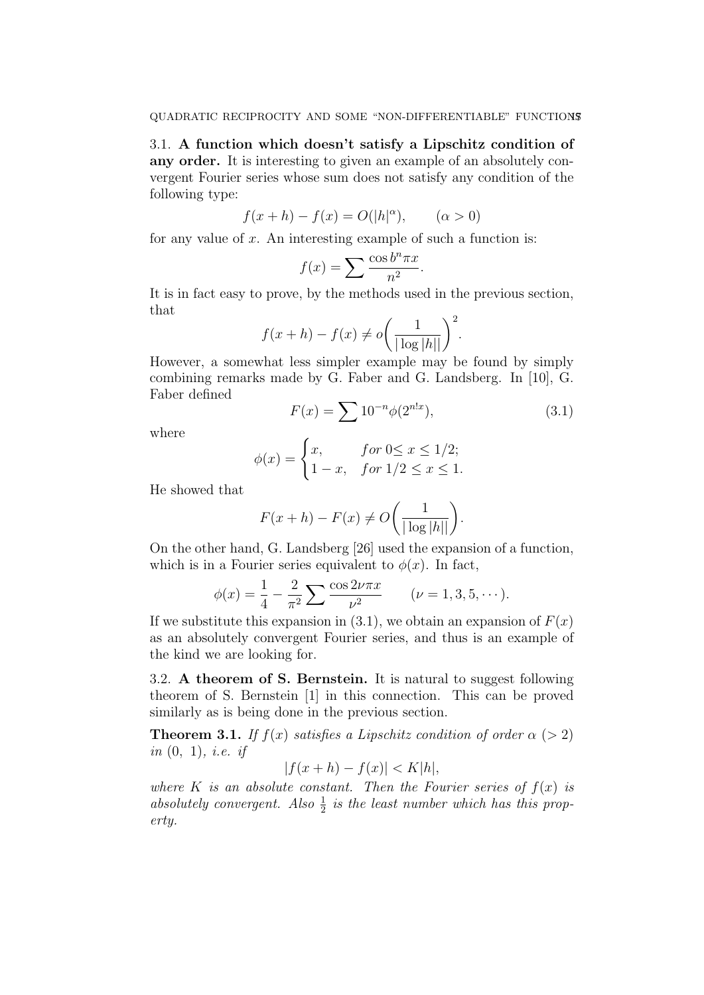3.1. A function which doesn't satisfy a Lipschitz condition of any order. It is interesting to given an example of an absolutely convergent Fourier series whose sum does not satisfy any condition of the following type:

$$
f(x+h) - f(x) = O(|h|\alpha), \qquad (\alpha > 0)
$$

for any value of  $x$ . An interesting example of such a function is:

$$
f(x) = \sum \frac{\cos b^n \pi x}{n^2}.
$$

It is in fact easy to prove, by the methods used in the previous section, that

$$
f(x+h) - f(x) \neq o\bigg(\frac{1}{|\log|h||}\bigg)^2.
$$

However, a somewhat less simpler example may be found by simply combining remarks made by G. Faber and G. Landsberg. In [10], G. Faber defined

$$
F(x) = \sum 10^{-n} \phi(2^{n!x}), \qquad (3.1)
$$

where

$$
\phi(x) = \begin{cases} x, & \text{for } 0 \le x \le 1/2; \\ 1 - x, & \text{for } 1/2 \le x \le 1. \end{cases}
$$

He showed that

$$
F(x+h) - F(x) \neq O\bigg(\frac{1}{|\log|h||}\bigg).
$$

On the other hand, G. Landsberg [26] used the expansion of a function, which is in a Fourier series equivalent to  $\phi(x)$ . In fact,

$$
\phi(x) = \frac{1}{4} - \frac{2}{\pi^2} \sum \frac{\cos 2\nu \pi x}{\nu^2} \qquad (\nu = 1, 3, 5, \cdots).
$$

If we substitute this expansion in  $(3.1)$ , we obtain an expansion of  $F(x)$ as an absolutely convergent Fourier series, and thus is an example of the kind we are looking for.

3.2. A theorem of S. Bernstein. It is natural to suggest following theorem of S. Bernstein [1] in this connection. This can be proved similarly as is being done in the previous section.

**Theorem 3.1.** If  $f(x)$  satisfies a Lipschitz condition of order  $\alpha$  (> 2) in  $(0, 1)$ , *i.e.* if

$$
|f(x+h) - f(x)| < K|h|,
$$

where K is an absolute constant. Then the Fourier series of  $f(x)$  is absolutely convergent. Also  $\frac{1}{2}$  is the least number which has this property.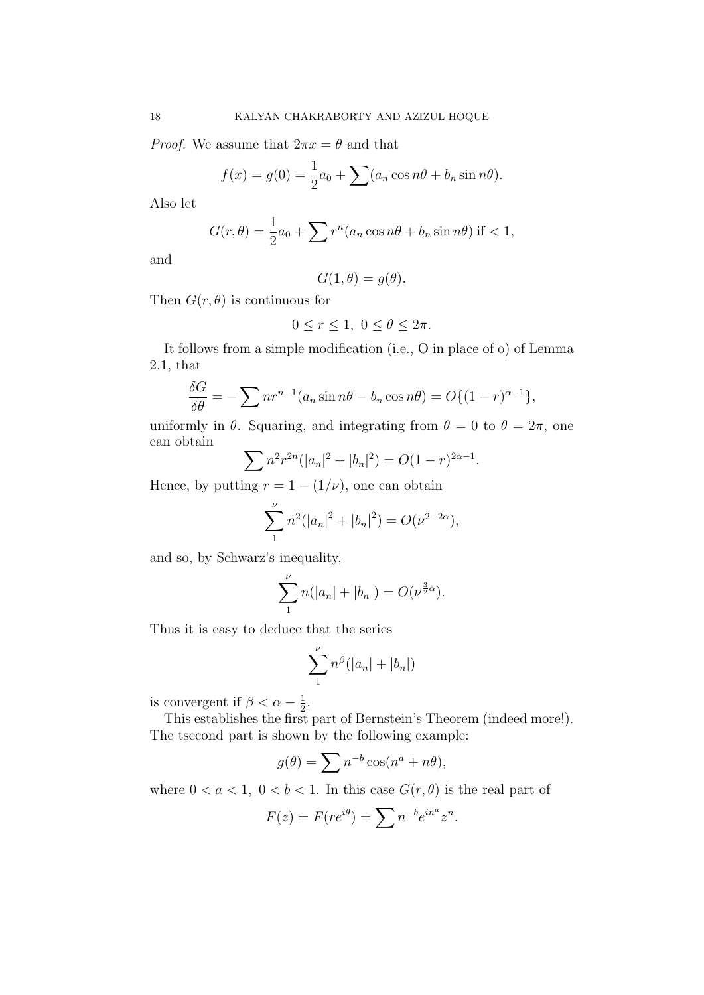*Proof.* We assume that  $2\pi x = \theta$  and that

$$
f(x) = g(0) = \frac{1}{2}a_0 + \sum (a_n \cos n\theta + b_n \sin n\theta).
$$

Also let

$$
G(r,\theta) = \frac{1}{2}a_0 + \sum r^n (a_n \cos n\theta + b_n \sin n\theta)
$$
 if < 1,

and

$$
G(1,\theta)=g(\theta).
$$

Then  $G(r, \theta)$  is continuous for

$$
0 \le r \le 1, \ 0 \le \theta \le 2\pi.
$$

It follows from a simple modification (i.e., O in place of o) of Lemma 2.1, that

$$
\frac{\delta G}{\delta \theta} = -\sum n r^{n-1} (a_n \sin n\theta - b_n \cos n\theta) = O\{(1-r)^{\alpha-1}\},\,
$$

uniformly in  $\theta$ . Squaring, and integrating from  $\theta = 0$  to  $\theta = 2\pi$ , one can obtain

$$
\sum n^2 r^{2n} (|a_n|^2 + |b_n|^2) = O(1-r)^{2\alpha - 1}.
$$

Hence, by putting  $r = 1 - (1/\nu)$ , one can obtain

$$
\sum_{1}^{\nu} n^{2} (|a_{n}|^{2} + |b_{n}|^{2}) = O(\nu^{2-2\alpha}),
$$

and so, by Schwarz's inequality,

$$
\sum_{1}^{\nu} n(|a_n| + |b_n|) = O(\nu^{\frac{3}{2}\alpha}).
$$

Thus it is easy to deduce that the series

$$
\sum_{1}^{\nu} n^{\beta} (|a_n| + |b_n|)
$$

is convergent if  $\beta < \alpha - \frac{1}{2}$  $\frac{1}{2}$ .

This establishes the first part of Bernstein's Theorem (indeed more!). The tsecond part is shown by the following example:

$$
g(\theta) = \sum n^{-b} \cos(n^a + n\theta),
$$

where  $0 < a < 1$ ,  $0 < b < 1$ . In this case  $G(r, \theta)$  is the real part of

$$
F(z) = F(re^{i\theta}) = \sum n^{-b} e^{in^a} z^n.
$$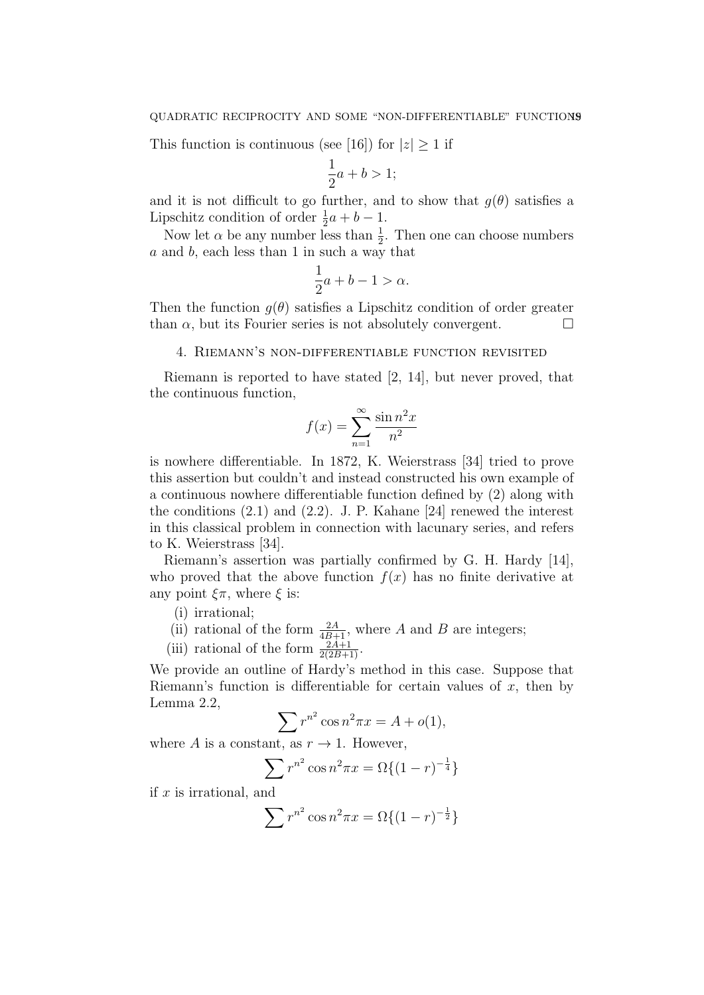This function is continuous (see [16]) for  $|z| \geq 1$  if

$$
\frac{1}{2}a + b > 1;
$$

and it is not difficult to go further, and to show that  $q(\theta)$  satisfies a Lipschitz condition of order  $\frac{1}{2}a + b - 1$ .

Now let  $\alpha$  be any number less than  $\frac{1}{2}$ . Then one can choose numbers a and b, each less than 1 in such a way that

$$
\frac{1}{2}a + b - 1 > \alpha.
$$

Then the function  $q(\theta)$  satisfies a Lipschitz condition of order greater than  $\alpha$ , but its Fourier series is not absolutely convergent.  $\Box$ 

#### 4. Riemann's non-differentiable function revisited

Riemann is reported to have stated [2, 14], but never proved, that the continuous function,

$$
f(x) = \sum_{n=1}^{\infty} \frac{\sin n^2 x}{n^2}
$$

is nowhere differentiable. In 1872, K. Weierstrass [34] tried to prove this assertion but couldn't and instead constructed his own example of a continuous nowhere differentiable function defined by (2) along with the conditions  $(2.1)$  and  $(2.2)$ . J. P. Kahane [24] renewed the interest in this classical problem in connection with lacunary series, and refers to K. Weierstrass [34].

Riemann's assertion was partially confirmed by G. H. Hardy [14], who proved that the above function  $f(x)$  has no finite derivative at any point  $\xi \pi$ , where  $\xi$  is:

(i) irrational;

- (ii) rational of the form  $\frac{2A}{4B+1}$ , where A and B are integers;
- (iii) rational of the form  $\frac{2A+1}{2(2B+1)}$ .

We provide an outline of Hardy's method in this case. Suppose that Riemann's function is differentiable for certain values of  $x$ , then by Lemma 2.2,

$$
\sum r^{n^2} \cos n^2 \pi x = A + o(1),
$$

where A is a constant, as  $r \to 1$ . However,

$$
\sum r^{n^2} \cos n^2 \pi x = \Omega \{ (1 - r)^{-\frac{1}{4}} \}
$$

if  $x$  is irrational, and

$$
\sum r^{n^2} \cos n^2 \pi x = \Omega \{ (1 - r)^{-\frac{1}{2}} \}
$$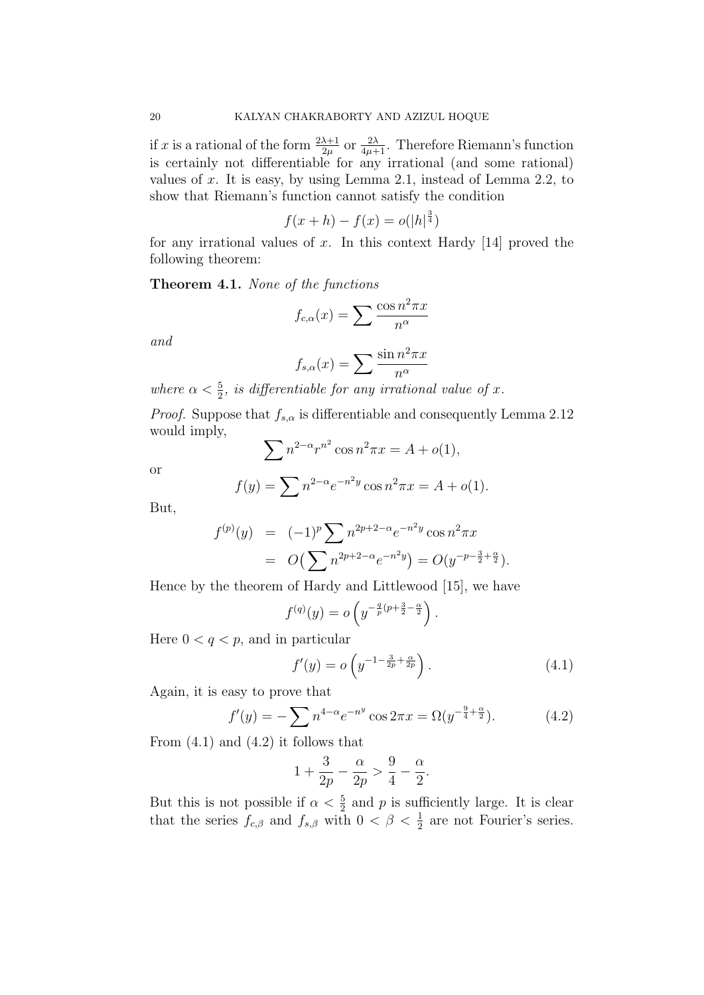if x is a rational of the form  $\frac{2\lambda+1}{2\mu}$  or  $\frac{2\lambda}{4\mu+1}$ . Therefore Riemann's function is certainly not differentiable for any irrational (and some rational) values of x. It is easy, by using Lemma 2.1, instead of Lemma 2.2, to show that Riemann's function cannot satisfy the condition

$$
f(x+h) - f(x) = o(|h|^{\frac{3}{4}})
$$

for any irrational values of x. In this context Hardy  $[14]$  proved the following theorem:

Theorem 4.1. None of the functions

$$
f_{c,\alpha}(x) = \sum \frac{\cos n^2 \pi x}{n^{\alpha}}
$$

and

$$
f_{s,\alpha}(x) = \sum \frac{\sin n^2 \pi x}{n^{\alpha}}
$$

where  $\alpha < \frac{5}{2}$ , is differentiable for any irrational value of x.

*Proof.* Suppose that  $f_{s,\alpha}$  is differentiable and consequently Lemma 2.12 would imply,

$$
\sum n^{2-\alpha} r^{n^2} \cos n^2 \pi x = A + o(1),
$$

or

$$
f(y) = \sum n^{2-\alpha} e^{-n^2 y} \cos n^2 \pi x = A + o(1).
$$

But,

$$
f^{(p)}(y) = (-1)^p \sum n^{2p+2-\alpha} e^{-n^2 y} \cos n^2 \pi x
$$
  
=  $O(\sum n^{2p+2-\alpha} e^{-n^2 y}) = O(y^{-p-\frac{3}{2}+\frac{\alpha}{2}}).$ 

Hence by the theorem of Hardy and Littlewood [15], we have

$$
f^{(q)}(y) = o\left(y^{-\frac{q}{p}(p+\frac{3}{2}-\frac{\alpha}{2}}\right).
$$

Here  $0 < q < p$ , and in particular

$$
f'(y) = o\left(y^{-1 - \frac{3}{2p} + \frac{\alpha}{2p}}\right).
$$
 (4.1)

Again, it is easy to prove that

$$
f'(y) = -\sum n^{4-\alpha} e^{-n^y} \cos 2\pi x = \Omega(y^{-\frac{9}{4} + \frac{\alpha}{2}}). \tag{4.2}
$$

From  $(4.1)$  and  $(4.2)$  it follows that

$$
1 + \frac{3}{2p} - \frac{\alpha}{2p} > \frac{9}{4} - \frac{\alpha}{2}.
$$

But this is not possible if  $\alpha < \frac{5}{2}$  and p is sufficiently large. It is clear that the series  $f_{c,\beta}$  and  $f_{s,\beta}$  with  $0 < \beta < \frac{1}{2}$  are not Fourier's series.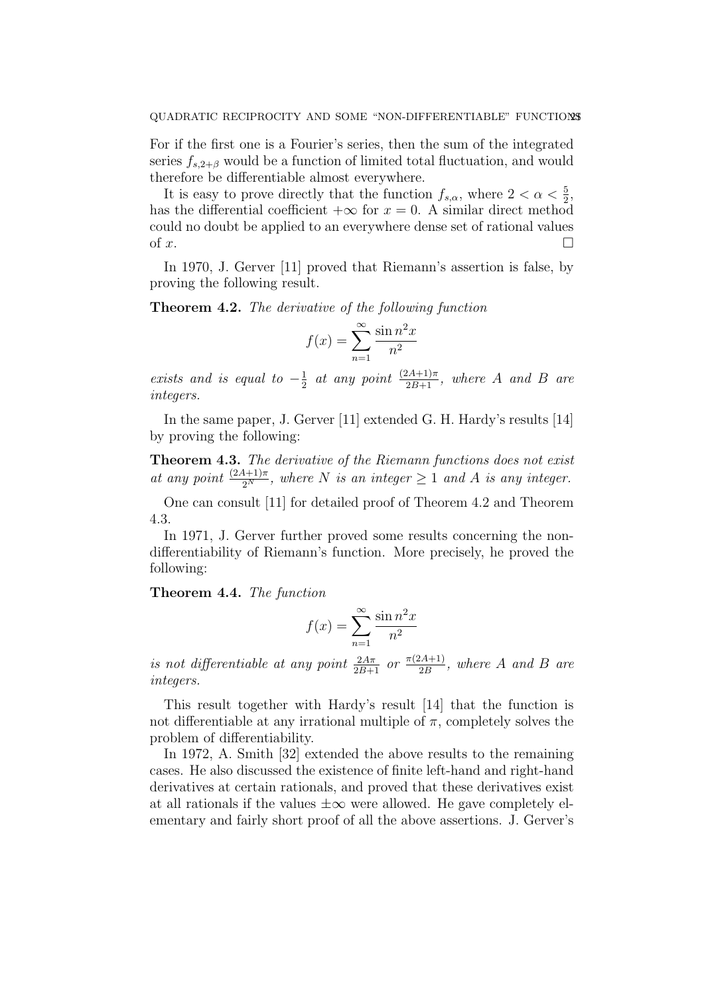For if the first one is a Fourier's series, then the sum of the integrated series  $f_{s,2+\beta}$  would be a function of limited total fluctuation, and would therefore be differentiable almost everywhere.

It is easy to prove directly that the function  $f_{s,\alpha}$ , where  $2 < \alpha < \frac{5}{2}$ , has the differential coefficient  $+\infty$  for  $x = 0$ . A similar direct method could no doubt be applied to an everywhere dense set of rational values of x.  $\Box$ 

In 1970, J. Gerver [11] proved that Riemann's assertion is false, by proving the following result.

Theorem 4.2. The derivative of the following function

$$
f(x) = \sum_{n=1}^{\infty} \frac{\sin n^2 x}{n^2}
$$

exists and is equal to  $-\frac{1}{2}$  $\frac{1}{2}$  at any point  $\frac{(2A+1)\pi}{2B+1}$ , where A and B are integers.

In the same paper, J. Gerver [11] extended G. H. Hardy's results [14] by proving the following:

**Theorem 4.3.** The derivative of the Riemann functions does not exist at any point  $\frac{(2A+1)\pi}{2^N}$ , where N is an integer  $\geq 1$  and A is any integer.

One can consult [11] for detailed proof of Theorem 4.2 and Theorem 4.3.

In 1971, J. Gerver further proved some results concerning the nondifferentiability of Riemann's function. More precisely, he proved the following:

Theorem 4.4. The function

$$
f(x) = \sum_{n=1}^{\infty} \frac{\sin n^2 x}{n^2}
$$

is not differentiable at any point  $\frac{2A\pi}{2B+1}$  or  $\frac{\pi(2A+1)}{2B}$  $\frac{2A+1}{2B}$ , where A and B are integers.

This result together with Hardy's result [14] that the function is not differentiable at any irrational multiple of  $\pi$ , completely solves the problem of differentiability.

In 1972, A. Smith [32] extended the above results to the remaining cases. He also discussed the existence of finite left-hand and right-hand derivatives at certain rationals, and proved that these derivatives exist at all rationals if the values  $\pm \infty$  were allowed. He gave completely elementary and fairly short proof of all the above assertions. J. Gerver's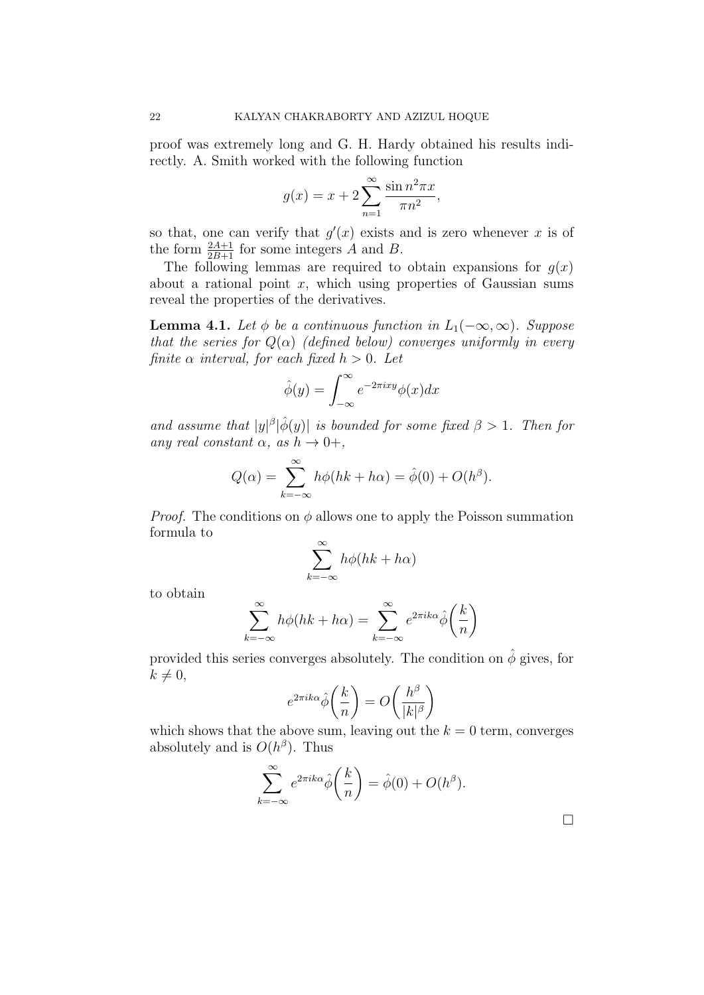proof was extremely long and G. H. Hardy obtained his results indirectly. A. Smith worked with the following function

$$
g(x) = x + 2\sum_{n=1}^{\infty} \frac{\sin n^2 \pi x}{\pi n^2},
$$

so that, one can verify that  $g'(x)$  exists and is zero whenever x is of the form  $\frac{2A+1}{2B+1}$  for some integers A and B.

The following lemmas are required to obtain expansions for  $q(x)$ about a rational point  $x$ , which using properties of Gaussian sums reveal the properties of the derivatives.

**Lemma 4.1.** Let  $\phi$  be a continuous function in  $L_1(-\infty,\infty)$ . Suppose that the series for  $Q(\alpha)$  (defined below) converges uniformly in every finite  $\alpha$  interval, for each fixed  $h > 0$ . Let

$$
\hat{\phi}(y) = \int_{-\infty}^{\infty} e^{-2\pi ixy} \phi(x) dx
$$

and assume that  $|y|^{\beta}|\hat{\phi}(y)|$  is bounded for some fixed  $\beta > 1$ . Then for any real constant  $\alpha$ , as  $h \to 0+,$ 

$$
Q(\alpha) = \sum_{k=-\infty}^{\infty} h\phi(hk + h\alpha) = \hat{\phi}(0) + O(h^{\beta}).
$$

*Proof.* The conditions on  $\phi$  allows one to apply the Poisson summation formula to

$$
\sum_{k=-\infty}^{\infty} h\phi(hk + h\alpha)
$$

to obtain

$$
\sum_{k=-\infty}^{\infty} h\phi(hk + h\alpha) = \sum_{k=-\infty}^{\infty} e^{2\pi i k\alpha} \hat{\phi}\left(\frac{k}{n}\right)
$$

provided this series converges absolutely. The condition on  $\hat{\phi}$  gives, for  $k \neq 0,$ 

$$
e^{2\pi i k\alpha} \hat{\phi}\left(\frac{k}{n}\right) = O\left(\frac{h^{\beta}}{|k|^{\beta}}\right)
$$

which shows that the above sum, leaving out the  $k = 0$  term, converges absolutely and is  $O(h^{\beta})$ . Thus

$$
\sum_{k=-\infty}^{\infty} e^{2\pi i k \alpha} \hat{\phi}\left(\frac{k}{n}\right) = \hat{\phi}(0) + O(h^{\beta}).
$$

 $\Box$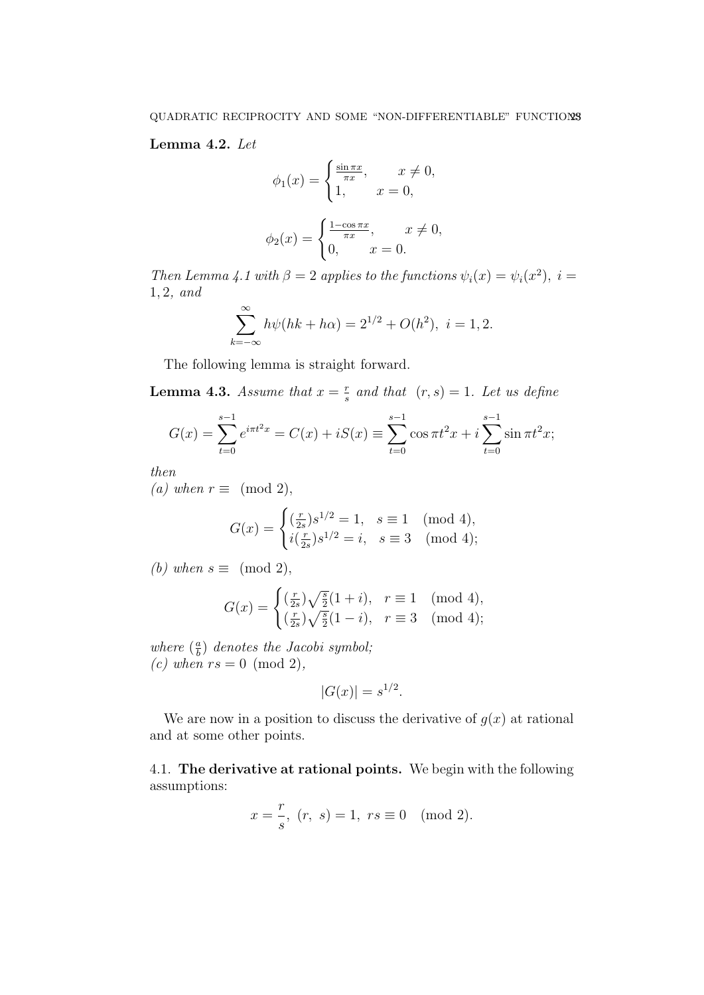# Lemma 4.2. Let

$$
\phi_1(x) = \begin{cases} \frac{\sin \pi x}{\pi x}, & x \neq 0, \\ 1, & x = 0, \end{cases}
$$

$$
\phi_2(x) = \begin{cases} \frac{1 - \cos \pi x}{\pi x}, & x \neq 0, \\ 0, & x = 0. \end{cases}
$$

Then Lemma 4.1 with  $\beta = 2$  applies to the functions  $\psi_i(x) = \psi_i(x^2)$ ,  $i =$ 1, 2, and

$$
\sum_{k=-\infty}^{\infty} h\psi(hk + h\alpha) = 2^{1/2} + O(h^2), \ i = 1, 2.
$$

The following lemma is straight forward.

**Lemma 4.3.** Assume that  $x = \frac{r}{s}$  $\frac{r}{s}$  and that  $(r, s) = 1$ . Let us define

$$
G(x) = \sum_{t=0}^{s-1} e^{i\pi t^2 x} = C(x) + iS(x) \equiv \sum_{t=0}^{s-1} \cos \pi t^2 x + i \sum_{t=0}^{s-1} \sin \pi t^2 x;
$$

then

(a) when  $r \equiv \pmod{2}$ ,

$$
G(x) = \begin{cases} \left(\frac{r}{2s}\right)s^{1/2} = 1, & s \equiv 1 \pmod{4}, \\ i\left(\frac{r}{2s}\right)s^{1/2} = i, & s \equiv 3 \pmod{4}; \end{cases}
$$

(b) when  $s \equiv \pmod{2}$ ,

$$
G(x) = \begin{cases} \left(\frac{r}{2s}\right)\sqrt{\frac{s}{2}}(1+i), & r \equiv 1 \pmod{4}, \\ \left(\frac{r}{2s}\right)\sqrt{\frac{s}{2}}(1-i), & r \equiv 3 \pmod{4}; \end{cases}
$$

where  $\left(\frac{a}{b}\right)$  $\frac{a}{b}$ ) denotes the Jacobi symbol; (c) when  $rs = 0 \pmod{2}$ ,

$$
|G(x)| = s^{1/2}.
$$

We are now in a position to discuss the derivative of  $g(x)$  at rational and at some other points.

4.1. The derivative at rational points. We begin with the following assumptions:

$$
x = \frac{r}{s}
$$
,  $(r, s) = 1$ ,  $rs \equiv 0 \pmod{2}$ .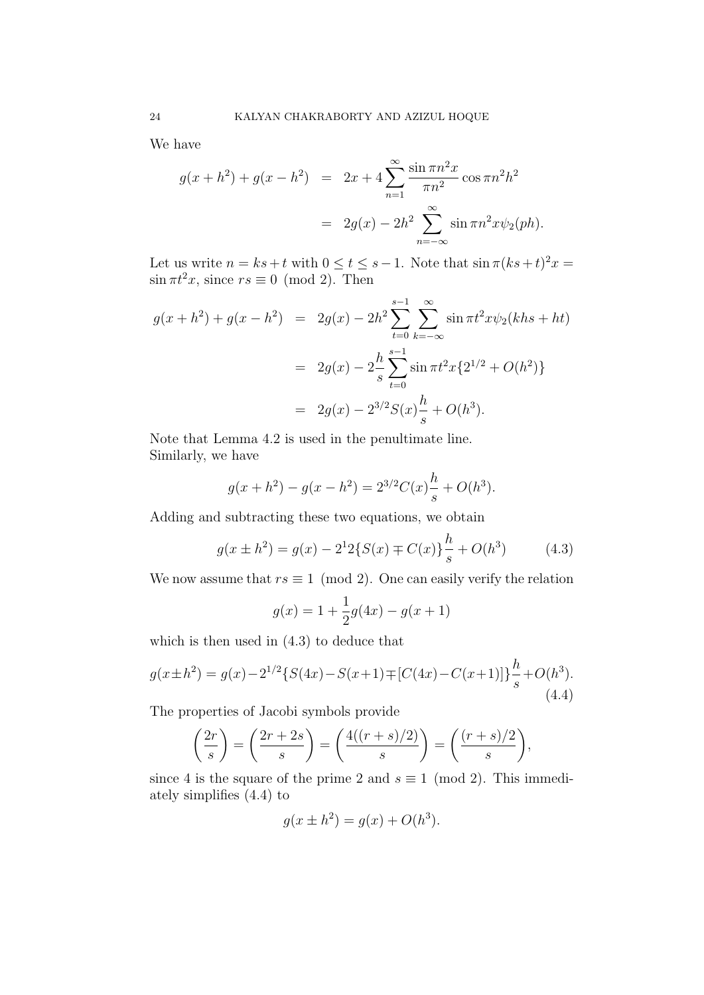We have

$$
g(x + h^{2}) + g(x - h^{2}) = 2x + 4 \sum_{n=1}^{\infty} \frac{\sin \pi n^{2} x}{\pi n^{2}} \cos \pi n^{2} h^{2}
$$

$$
= 2g(x) - 2h^{2} \sum_{n=-\infty}^{\infty} \sin \pi n^{2} x \psi_{2}(ph).
$$

Let us write  $n = ks+t$  with  $0 \le t \le s-1$ . Note that  $\sin \pi (ks+t)^2 x =$  $\sin \pi t^2 x$ , since  $rs \equiv 0 \pmod{2}$ . Then

$$
g(x + h^{2}) + g(x - h^{2}) = 2g(x) - 2h^{2} \sum_{t=0}^{s-1} \sum_{k=-\infty}^{\infty} \sin \pi t^{2} x \psi_{2}(khs + ht)
$$
  

$$
= 2g(x) - 2\frac{h}{s} \sum_{t=0}^{s-1} \sin \pi t^{2} x \{2^{1/2} + O(h^{2})\}
$$
  

$$
= 2g(x) - 2^{3/2} S(x) \frac{h}{s} + O(h^{3}).
$$

Note that Lemma 4.2 is used in the penultimate line. Similarly, we have

$$
g(x + h2) - g(x - h2) = 23/2C(x)\frac{h}{s} + O(h3).
$$

Adding and subtracting these two equations, we obtain

$$
g(x \pm h^2) = g(x) - 2^1 2\{S(x) \mp C(x)\} \frac{h}{s} + O(h^3)
$$
 (4.3)

We now assume that  $rs \equiv 1 \pmod{2}$ . One can easily verify the relation

$$
g(x) = 1 + \frac{1}{2}g(4x) - g(x+1)
$$

which is then used in (4.3) to deduce that

$$
g(x \pm h^2) = g(x) - 2^{1/2} \{ S(4x) - S(x+1) \mp [C(4x) - C(x+1)] \} \frac{h}{s} + O(h^3).
$$
\n(4.4)

The properties of Jacobi symbols provide

$$
\left(\frac{2r}{s}\right) = \left(\frac{2r+2s}{s}\right) = \left(\frac{4((r+s)/2)}{s}\right) = \left(\frac{(r+s)/2}{s}\right),
$$

since 4 is the square of the prime 2 and  $s \equiv 1 \pmod{2}$ . This immediately simplifies (4.4) to

$$
g(x \pm h^2) = g(x) + O(h^3).
$$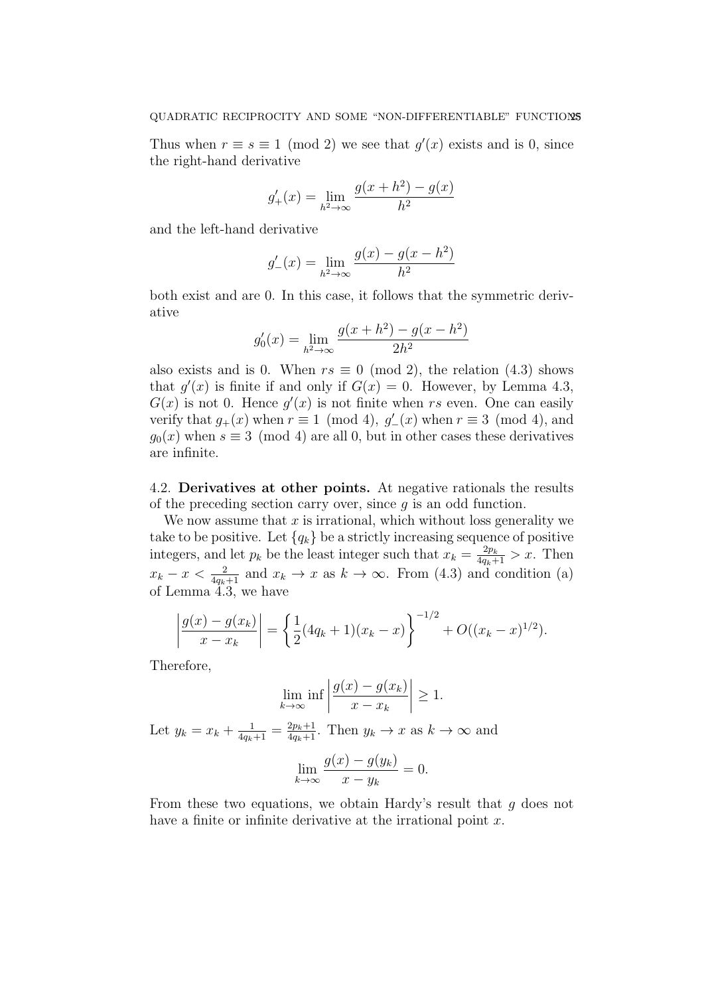Thus when  $r \equiv s \equiv 1 \pmod{2}$  we see that  $g'(x)$  exists and is 0, since the right-hand derivative

$$
g'_{+}(x) = \lim_{h^{2} \to \infty} \frac{g(x + h^{2}) - g(x)}{h^{2}}
$$

and the left-hand derivative

$$
g'_{-}(x) = \lim_{h^{2} \to \infty} \frac{g(x) - g(x - h^{2})}{h^{2}}
$$

both exist and are 0. In this case, it follows that the symmetric derivative

$$
g'_0(x) = \lim_{h^2 \to \infty} \frac{g(x+h^2) - g(x-h^2)}{2h^2}
$$

also exists and is 0. When  $rs \equiv 0 \pmod{2}$ , the relation (4.3) shows that  $g'(x)$  is finite if and only if  $G(x) = 0$ . However, by Lemma 4.3,  $G(x)$  is not 0. Hence  $g'(x)$  is not finite when rs even. One can easily verify that  $g_+(x)$  when  $r \equiv 1 \pmod{4}$ ,  $g_-'(x)$  when  $r \equiv 3 \pmod{4}$ , and  $q_0(x)$  when  $s \equiv 3 \pmod{4}$  are all 0, but in other cases these derivatives are infinite.

4.2. Derivatives at other points. At negative rationals the results of the preceding section carry over, since  $q$  is an odd function.

We now assume that  $x$  is irrational, which without loss generality we take to be positive. Let  ${q_k}$  be a strictly increasing sequence of positive integers, and let  $p_k$  be the least integer such that  $x_k = \frac{2p_k}{4q_k+1} > x$ . Then  $x_k - x < \frac{2}{4q_k+1}$  and  $x_k \to x$  as  $k \to \infty$ . From (4.3) and condition (a) of Lemma 4.3, we have

$$
\left| \frac{g(x) - g(x_k)}{x - x_k} \right| = \left\{ \frac{1}{2} (4q_k + 1)(x_k - x) \right\}^{-1/2} + O((x_k - x)^{1/2}).
$$

Therefore,

$$
\lim_{k \to \infty} \inf \left| \frac{g(x) - g(x_k)}{x - x_k} \right| \ge 1.
$$
  
Let  $y_k = x_k + \frac{1}{4q_k + 1} = \frac{2p_k + 1}{4q_k + 1}$ . Then  $y_k \to x$  as  $k \to \infty$  and  

$$
\lim_{k \to \infty} \frac{g(x) - g(y_k)}{x - y_k} = 0.
$$

From these two equations, we obtain Hardy's result that  $q$  does not have a finite or infinite derivative at the irrational point  $x$ .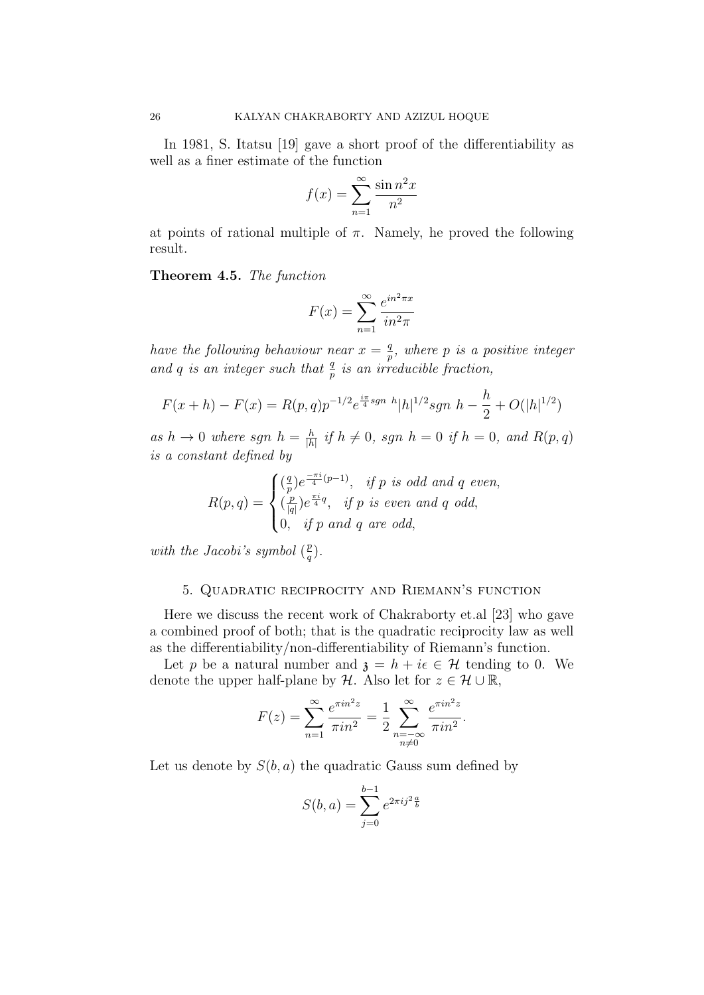In 1981, S. Itatsu [19] gave a short proof of the differentiability as well as a finer estimate of the function

$$
f(x) = \sum_{n=1}^{\infty} \frac{\sin n^2 x}{n^2}
$$

at points of rational multiple of  $\pi$ . Namely, he proved the following result.

Theorem 4.5. The function

$$
F(x) = \sum_{n=1}^{\infty} \frac{e^{in^2 \pi x}}{in^2 \pi}
$$

have the following behaviour near  $x = \frac{q}{r}$  $\frac{q}{p}$ , where  $p$  is a positive integer and q is an integer such that  $\frac{q}{p}$  is an irreducible fraction,

$$
F(x+h) - F(x) = R(p,q)p^{-1/2}e^{\frac{i\pi}{4}sgn} h|h|^{1/2}sgn h - \frac{h}{2} + O(|h|^{1/2})
$$

as  $h \to 0$  where sgn  $h = \frac{h}{h}$  $\frac{h}{|h|}$  if  $h \neq 0$ , sgn  $h = 0$  if  $h = 0$ , and  $R(p, q)$ is a constant defined by

$$
R(p,q) = \begin{cases} \left(\frac{q}{p}\right)e^{\frac{-\pi i}{4}(p-1)}, & \text{if } p \text{ is odd and } q \text{ even,} \\ \left(\frac{p}{|q|}\right)e^{\frac{\pi i}{4}q}, & \text{if } p \text{ is even and } q \text{ odd,} \\ 0, & \text{if } p \text{ and } q \text{ are odd,} \end{cases}
$$

with the Jacobi's symbol  $\left(\frac{p}{q}\right)$  $\frac{p}{q}$ .

# 5. Quadratic reciprocity and Riemann's function

Here we discuss the recent work of Chakraborty et.al [23] who gave a combined proof of both; that is the quadratic reciprocity law as well as the differentiability/non-differentiability of Riemann's function.

Let p be a natural number and  $\mathfrak{z} = h + i\epsilon \in \mathcal{H}$  tending to 0. We denote the upper half-plane by H. Also let for  $z \in \mathcal{H} \cup \mathbb{R}$ ,

$$
F(z) = \sum_{n=1}^{\infty} \frac{e^{\pi i n^2 z}}{\pi i n^2} = \frac{1}{2} \sum_{\substack{n=-\infty\\n \neq 0}}^{\infty} \frac{e^{\pi i n^2 z}}{\pi i n^2}.
$$

Let us denote by  $S(b, a)$  the quadratic Gauss sum defined by

$$
S(b, a) = \sum_{j=0}^{b-1} e^{2\pi i j^2 \frac{a}{b}}
$$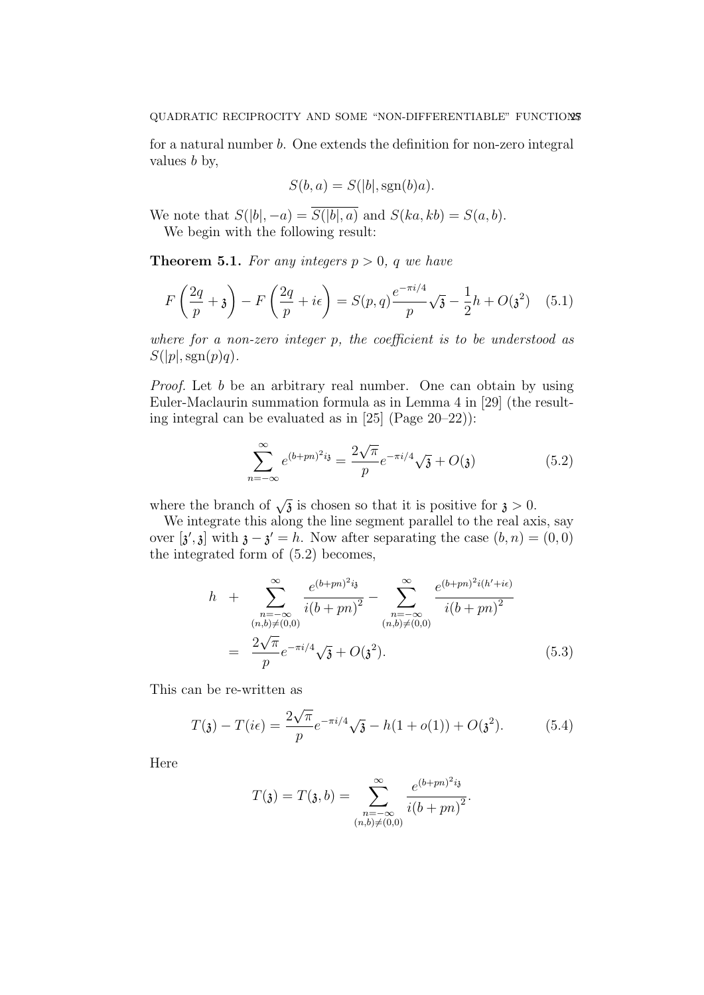for a natural number b. One extends the definition for non-zero integral values  $b$  by,

$$
S(b, a) = S(|b|, \operatorname{sgn}(b)a).
$$

We note that  $S(|b|, -a) = \overline{S(|b|, a)}$  and  $S(ka, kb) = S(a, b)$ .

We begin with the following result:

**Theorem 5.1.** For any integers  $p > 0$ , q we have

$$
F\left(\frac{2q}{p} + \mathfrak{z}\right) - F\left(\frac{2q}{p} + i\epsilon\right) = S(p, q)\frac{e^{-\pi i/4}}{p}\sqrt{\mathfrak{z}} - \frac{1}{2}h + O(\mathfrak{z}^2) \quad (5.1)
$$

where for a non-zero integer  $p$ , the coefficient is to be understood as  $S(|p|,sgn(p)q).$ 

Proof. Let b be an arbitrary real number. One can obtain by using Euler-Maclaurin summation formula as in Lemma 4 in [29] (the resulting integral can be evaluated as in [25] (Page 20–22)):

$$
\sum_{n=-\infty}^{\infty} e^{(b+pn)^2 i} = \frac{2\sqrt{\pi}}{p} e^{-\pi i/4} \sqrt{\mathfrak{z}} + O(\mathfrak{z})
$$
 (5.2)

where the branch of  $\sqrt{3}$  is chosen so that it is positive for  $\lambda > 0$ .

We integrate this along the line segment parallel to the real axis, say over  $[\mathbf{a}',\mathbf{b}]$  with  $\mathbf{a}-\mathbf{b}'=h$ . Now after separating the case  $(b,n)=(0,0)$ the integrated form of (5.2) becomes,

$$
h + \sum_{\substack{n=-\infty\\(n,b)\neq(0,0)}}^{\infty} \frac{e^{(b+pn)^2 i_3}}{i(b+pn)^2} - \sum_{\substack{n=-\infty\\(n,b)\neq(0,0)}}^{\infty} \frac{e^{(b+pn)^2 i(h'+i\epsilon)}}{i(b+pn)^2}
$$
  
= 
$$
\frac{2\sqrt{\pi}}{p} e^{-\pi i/4} \sqrt{3} + O(\mathfrak{z}^2).
$$
 (5.3)

This can be re-written as

$$
T(\mathfrak{z}) - T(i\epsilon) = \frac{2\sqrt{\pi}}{p} e^{-\pi i/4} \sqrt{\mathfrak{z}} - h(1 + o(1)) + O(\mathfrak{z}^2). \tag{5.4}
$$

Here

$$
T(\mathfrak{z}) = T(\mathfrak{z}, b) = \sum_{\substack{n = -\infty \\ (n, b) \neq (0, 0)}}^{\infty} \frac{e^{(b + pn)^2 i \mathfrak{z}}}{i(b + pn)^2}.
$$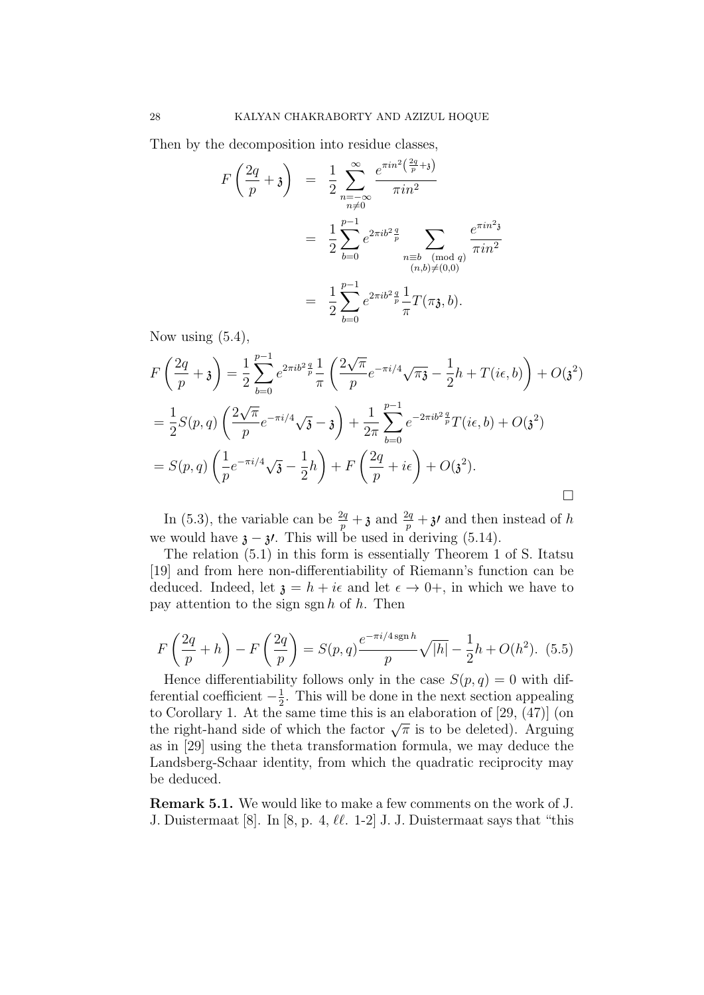Then by the decomposition into residue classes,

$$
F\left(\frac{2q}{p}+3\right) = \frac{1}{2} \sum_{\substack{n=-\infty \\ n\neq 0}}^{\infty} \frac{e^{\pi i n^2 \left(\frac{2q}{p}+3\right)}}{\pi i n^2}
$$
  

$$
= \frac{1}{2} \sum_{b=0}^{p-1} e^{2\pi i b^2 \frac{q}{p}} \sum_{\substack{n=b \pmod{q} \\ (n,b)\neq(0,0)}} \frac{e^{\pi i n^2 3}}{\pi i n^2}
$$
  

$$
= \frac{1}{2} \sum_{b=0}^{p-1} e^{2\pi i b^2 \frac{q}{p}} \frac{1}{\pi} T(\pi \mathfrak{z}, b).
$$

Now using  $(5.4)$ ,

$$
F\left(\frac{2q}{p}+3\right) = \frac{1}{2}\sum_{b=0}^{p-1} e^{2\pi i b^2 \frac{q}{p}} \frac{1}{\pi} \left(\frac{2\sqrt{\pi}}{p} e^{-\pi i/4} \sqrt{\pi} - \frac{1}{2}h + T(i\epsilon, b)\right) + O(\mathfrak{z}^2)
$$
  

$$
= \frac{1}{2}S(p,q)\left(\frac{2\sqrt{\pi}}{p}e^{-\pi i/4} \sqrt{\mathfrak{z}} - 3\right) + \frac{1}{2\pi}\sum_{b=0}^{p-1} e^{-2\pi i b^2 \frac{q}{p}}T(i\epsilon, b) + O(\mathfrak{z}^2)
$$
  

$$
= S(p,q)\left(\frac{1}{p}e^{-\pi i/4} \sqrt{\mathfrak{z}} - \frac{1}{2}h\right) + F\left(\frac{2q}{p} + i\epsilon\right) + O(\mathfrak{z}^2).
$$

In (5.3), the variable can be  $\frac{2q}{p} + \frac{1}{3}$  and  $\frac{2q}{p} + \frac{1}{3}$  and then instead of h we would have  $\lambda - \lambda'$ . This will be used in deriving (5.14).

The relation (5.1) in this form is essentially Theorem 1 of S. Itatsu [19] and from here non-differentiability of Riemann's function can be deduced. Indeed, let  $\mathfrak{z} = h + i\epsilon$  and let  $\epsilon \to 0^+$ , in which we have to pay attention to the sign sgn  $h$  of  $h$ . Then

$$
F\left(\frac{2q}{p} + h\right) - F\left(\frac{2q}{p}\right) = S(p,q)\frac{e^{-\pi i/4 \operatorname{sgn} h}}{p}\sqrt{|h|} - \frac{1}{2}h + O(h^2). \tag{5.5}
$$

Hence differentiability follows only in the case  $S(p, q) = 0$  with differential coefficient  $-\frac{1}{2}$  $\frac{1}{2}$ . This will be done in the next section appealing to Corollary 1. At the same time this is an elaboration of [29, (47)] (on to Coronary 1. At the same time this is an elaboration of [29, (47)] (on<br>the right-hand side of which the factor  $\sqrt{\pi}$  is to be deleted). Arguing as in [29] using the theta transformation formula, we may deduce the Landsberg-Schaar identity, from which the quadratic reciprocity may be deduced.

Remark 5.1. We would like to make a few comments on the work of J. J. Duistermaat [8]. In [8, p. 4,  $\ell\ell$ . 1-2] J. J. Duistermaat says that "this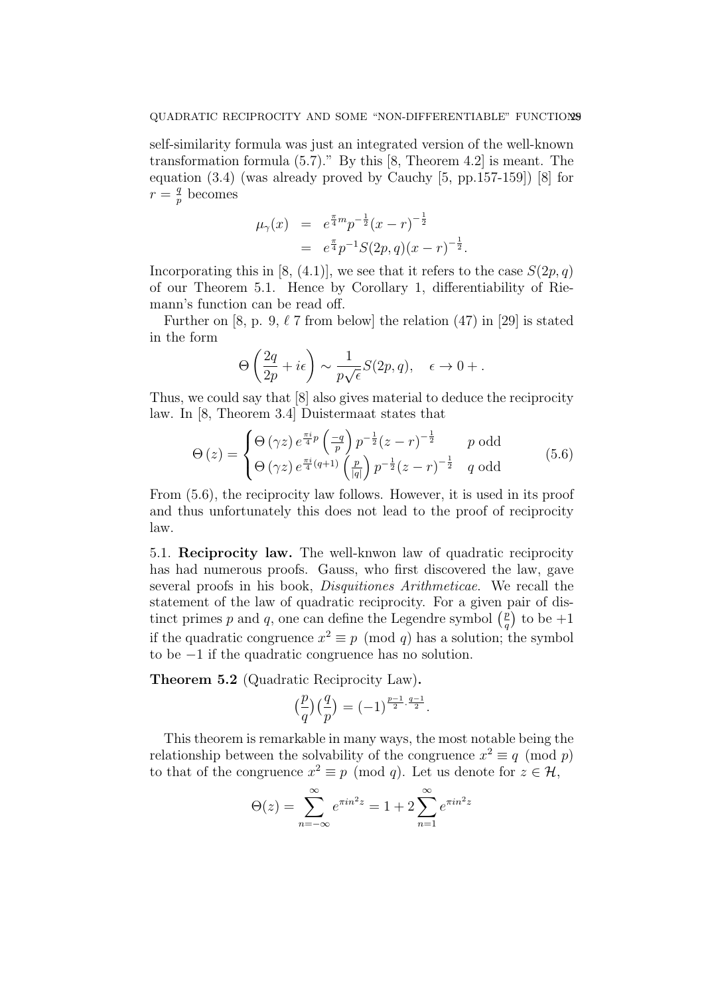self-similarity formula was just an integrated version of the well-known transformation formula (5.7)." By this [8, Theorem 4.2] is meant. The equation (3.4) (was already proved by Cauchy [5, pp.157-159]) [8] for  $r=\frac{q}{r}$  $\frac{q}{p}$  becomes

$$
\mu_{\gamma}(x) = e^{\frac{\pi}{4}m} p^{-\frac{1}{2}} (x - r)^{-\frac{1}{2}}
$$
  
=  $e^{\frac{\pi}{4}} p^{-1} S(2p, q) (x - r)^{-\frac{1}{2}}.$ 

Incorporating this in [8, (4.1)], we see that it refers to the case  $S(2p, q)$ of our Theorem 5.1. Hence by Corollary 1, differentiability of Riemann's function can be read off.

Further on [8, p. 9,  $\ell$  7 from below] the relation (47) in [29] is stated in the form

$$
\Theta\left(\frac{2q}{2p} + i\epsilon\right) \sim \frac{1}{p\sqrt{\epsilon}}S(2p, q), \quad \epsilon \to 0 + .
$$

Thus, we could say that [8] also gives material to deduce the reciprocity law. In [8, Theorem 3.4] Duistermaat states that

$$
\Theta(z) = \begin{cases} \Theta(\gamma z) e^{\frac{\pi i}{4}p} \left(\frac{-q}{p}\right) p^{-\frac{1}{2}} (z-r)^{-\frac{1}{2}} & p \text{ odd} \\ \Theta(\gamma z) e^{\frac{\pi i}{4}(q+1)} \left(\frac{p}{|q|}\right) p^{-\frac{1}{2}} (z-r)^{-\frac{1}{2}} & q \text{ odd} \end{cases}
$$
(5.6)

From (5.6), the reciprocity law follows. However, it is used in its proof and thus unfortunately this does not lead to the proof of reciprocity law.

5.1. Reciprocity law. The well-knwon law of quadratic reciprocity has had numerous proofs. Gauss, who first discovered the law, gave several proofs in his book, Disquitiones Arithmeticae. We recall the statement of the law of quadratic reciprocity. For a given pair of distinct primes p and q, one can define the Legendre symbol  $\binom{p}{q}$  $\binom{p}{q}$  to be  $+1$ if the quadratic congruence  $x^2 \equiv p \pmod{q}$  has a solution; the symbol to be −1 if the quadratic congruence has no solution.

Theorem 5.2 (Quadratic Reciprocity Law).

$$
\left(\frac{p}{q}\right)\left(\frac{q}{p}\right) = (-1)^{\frac{p-1}{2} \cdot \frac{q-1}{2}}.
$$

This theorem is remarkable in many ways, the most notable being the relationship between the solvability of the congruence  $x^2 \equiv q \pmod{p}$ to that of the congruence  $x^2 \equiv p \pmod{q}$ . Let us denote for  $z \in \mathcal{H}$ ,

$$
\Theta(z) = \sum_{n=-\infty}^{\infty} e^{\pi i n^2 z} = 1 + 2 \sum_{n=1}^{\infty} e^{\pi i n^2 z}
$$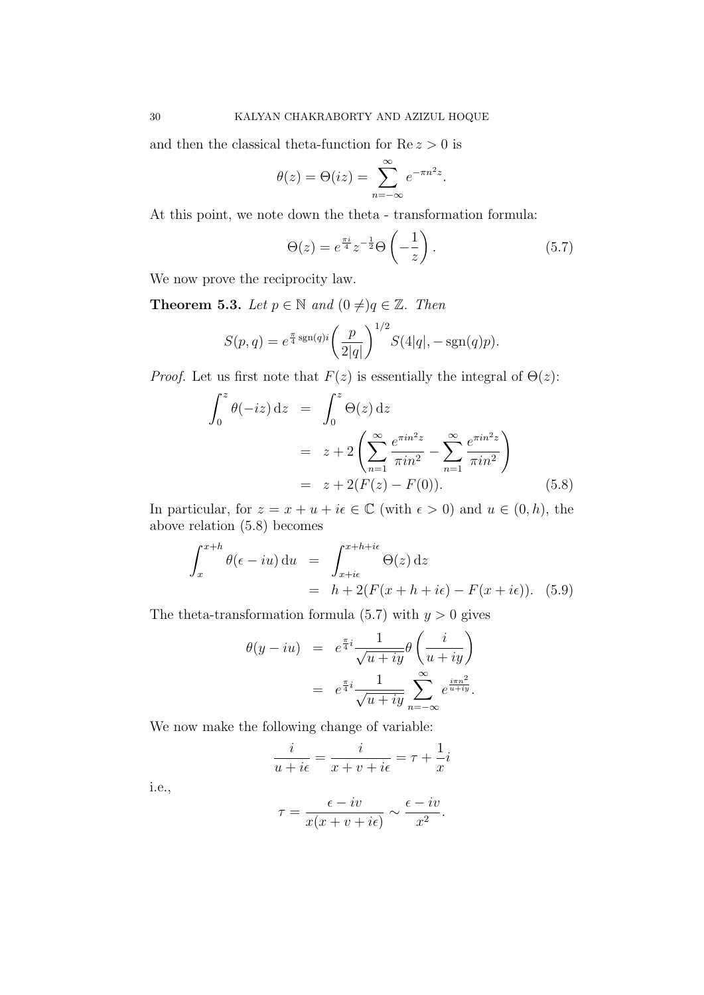and then the classical theta-function for  $Re z > 0$  is

$$
\theta(z) = \Theta(iz) = \sum_{n=-\infty}^{\infty} e^{-\pi n^2 z}.
$$

At this point, we note down the theta - transformation formula:

$$
\Theta(z) = e^{\frac{\pi i}{4}} z^{-\frac{1}{2}} \Theta\left(-\frac{1}{z}\right). \tag{5.7}
$$

We now prove the reciprocity law.

**Theorem 5.3.** Let  $p \in \mathbb{N}$  and  $(0 \neq)q \in \mathbb{Z}$ . Then

$$
S(p,q) = e^{\frac{\pi}{4} \text{sgn}(q)i} \left(\frac{p}{2|q|}\right)^{1/2} S(4|q|, -\text{sgn}(q)p).
$$

*Proof.* Let us first note that  $F(z)$  is essentially the integral of  $\Theta(z)$ :

$$
\int_0^z \theta(-iz) dz = \int_0^z \Theta(z) dz
$$
  
=  $z + 2 \left( \sum_{n=1}^\infty \frac{e^{\pi i n^2 z}}{\pi i n^2} - \sum_{n=1}^\infty \frac{e^{\pi i n^2 z}}{\pi i n^2} \right)$   
=  $z + 2(F(z) - F(0)).$  (5.8)

In particular, for  $z = x + u + i\epsilon \in \mathbb{C}$  (with  $\epsilon > 0$ ) and  $u \in (0, h)$ , the above relation (5.8) becomes

$$
\int_{x}^{x+h} \theta(\epsilon - iu) du = \int_{x+i\epsilon}^{x+h+i\epsilon} \Theta(z) dz
$$
  
=  $h + 2(F(x+h+i\epsilon) - F(x+i\epsilon)).$  (5.9)

The theta-transformation formula (5.7) with  $y > 0$  gives

$$
\theta(y - iu) = e^{\frac{\pi}{4}i} \frac{1}{\sqrt{u + iy}} \theta\left(\frac{i}{u + iy}\right)
$$

$$
= e^{\frac{\pi}{4}i} \frac{1}{\sqrt{u + iy}} \sum_{n = -\infty}^{\infty} e^{\frac{i\pi n^2}{u + iy}}.
$$

We now make the following change of variable:

$$
\frac{i}{u+i\epsilon}=\frac{i}{x+v+i\epsilon}=\tau+\frac{1}{x}i
$$

i.e.,

$$
\tau = \frac{\epsilon - iv}{x(x + v + i\epsilon)} \sim \frac{\epsilon - iv}{x^2}.
$$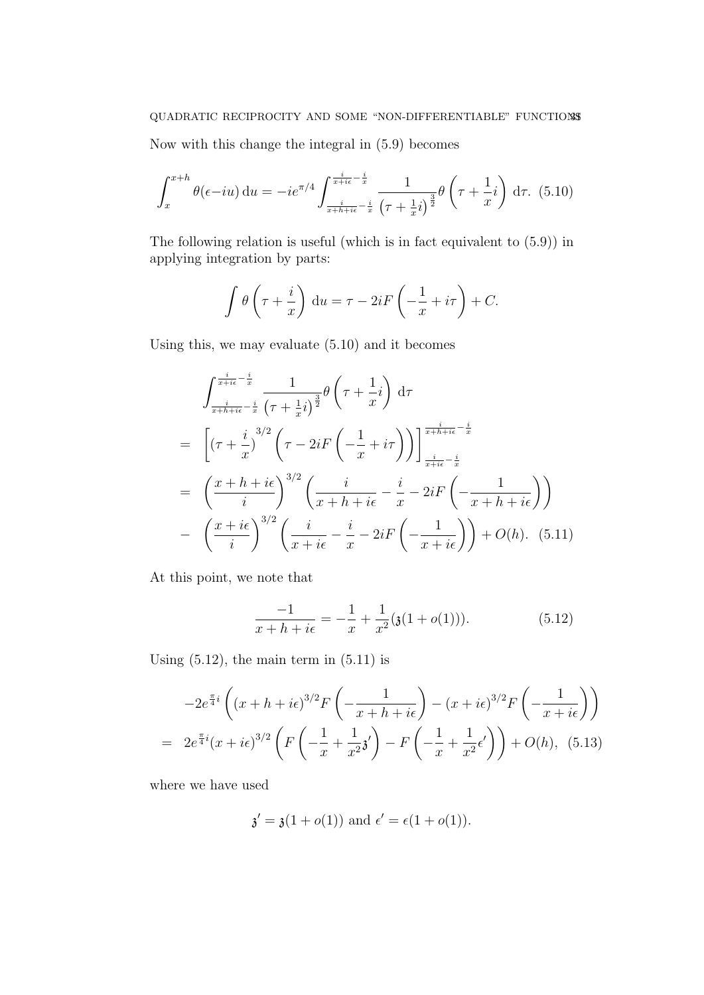Now with this change the integral in (5.9) becomes

$$
\int_{x}^{x+h} \theta(\epsilon - iu) du = -ie^{\pi/4} \int_{\frac{i}{x+h+i\epsilon} - \frac{i}{x}}^{\frac{i}{x+i\epsilon} - \frac{i}{x}} \frac{1}{(\tau + \frac{1}{x}i)^{\frac{3}{2}}} \theta\left(\tau + \frac{1}{x}i\right) d\tau. (5.10)
$$

The following relation is useful (which is in fact equivalent to (5.9)) in applying integration by parts:

$$
\int \theta \left(\tau + \frac{i}{x}\right) du = \tau - 2iF\left(-\frac{1}{x} + i\tau\right) + C.
$$

Using this, we may evaluate (5.10) and it becomes

$$
\int_{\frac{i}{x+hi} - \frac{i}{x}}^{\frac{i}{x+hi} - \frac{i}{x}} \frac{1}{(\tau + \frac{1}{x}i)^{\frac{3}{2}}} \theta\left(\tau + \frac{1}{x}i\right) d\tau
$$
\n
$$
= \left[ (\tau + \frac{i}{x})^{3/2} \left(\tau - 2iF\left(-\frac{1}{x} + i\tau\right)\right) \right]_{\frac{i}{x+hi} - \frac{i}{x}}^{\frac{i}{x+h+ie} - \frac{i}{x}}
$$
\n
$$
= \left(\frac{x+h+ie}{i}\right)^{3/2} \left(\frac{i}{x+h+ie} - \frac{i}{x} - 2iF\left(-\frac{1}{x+h+ie}\right)\right)
$$
\n
$$
- \left(\frac{x+ie}{i}\right)^{3/2} \left(\frac{i}{x+ie} - \frac{i}{x} - 2iF\left(-\frac{1}{x+ie}\right)\right) + O(h). \quad (5.11)
$$

At this point, we note that

$$
\frac{-1}{x+h+i\epsilon} = -\frac{1}{x} + \frac{1}{x^2}(\mathfrak{z}(1+o(1))).\tag{5.12}
$$

Using  $(5.12)$ , the main term in  $(5.11)$  is

$$
-2e^{\frac{\pi}{4}i}\left((x+h+i\epsilon)^{3/2}F\left(-\frac{1}{x+h+i\epsilon}\right)-(x+i\epsilon)^{3/2}F\left(-\frac{1}{x+i\epsilon}\right)\right)
$$
  
=  $2e^{\frac{\pi}{4}i}(x+i\epsilon)^{3/2}\left(F\left(-\frac{1}{x}+\frac{1}{x^2}\mathfrak{z}'\right)-F\left(-\frac{1}{x}+\frac{1}{x^2}\epsilon'\right)\right)+O(h),$  (5.13)

where we have used

$$
\mathfrak{z}' = \mathfrak{z}(1 + o(1))
$$
 and  $\epsilon' = \epsilon(1 + o(1)).$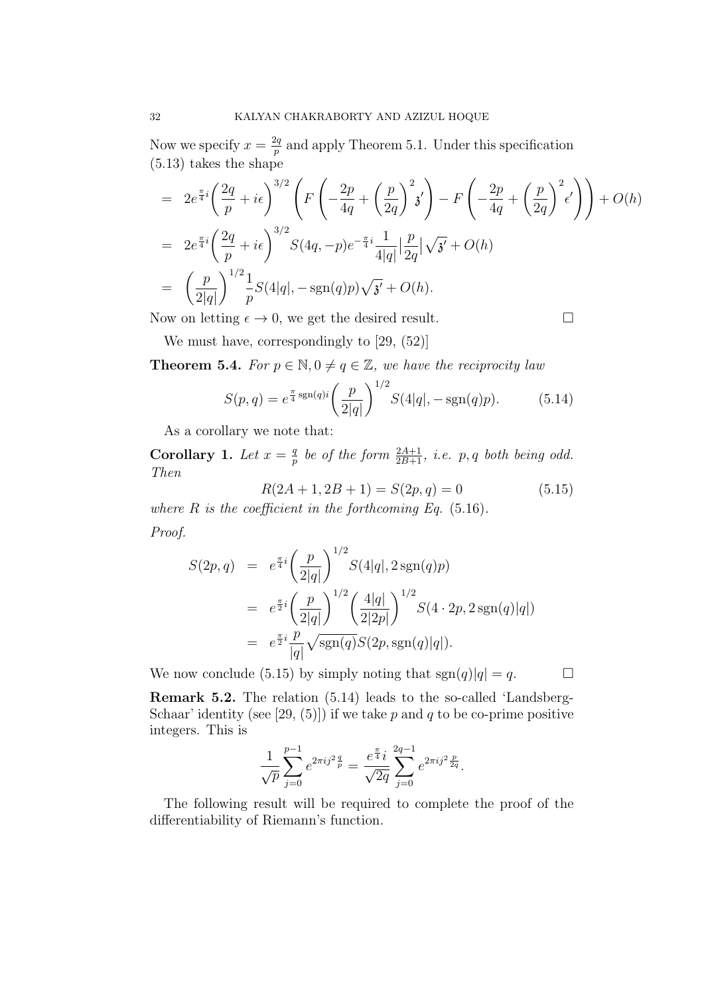Now we specify  $x=\frac{2q}{n}$  $\frac{2q}{p}$  and apply Theorem 5.1. Under this specification (5.13) takes the shape

$$
= 2e^{\frac{\pi}{4}i} \left(\frac{2q}{p} + i\epsilon\right)^{3/2} \left(F\left(-\frac{2p}{4q} + \left(\frac{p}{2q}\right)^2 i'\right) - F\left(-\frac{2p}{4q} + \left(\frac{p}{2q}\right)^2 \epsilon'\right)\right) + O(h)
$$
  
\n
$$
= 2e^{\frac{\pi}{4}i} \left(\frac{2q}{p} + i\epsilon\right)^{3/2} S(4q, -p)e^{-\frac{\pi}{4}i} \frac{1}{4|q|} \left|\frac{p}{2q}\right| \sqrt{3'} + O(h)
$$
  
\n
$$
= \left(\frac{p}{2|q|}\right)^{1/2} \frac{1}{p} S(4|q|, -\text{sgn}(q)p) \sqrt{3'} + O(h).
$$

Now on letting  $\epsilon \to 0$ , we get the desired result.

We must have, correspondingly to [29,  $(52)$ ]

**Theorem 5.4.** For  $p \in \mathbb{N}, 0 \neq q \in \mathbb{Z}$ , we have the reciprocity law

$$
S(p,q) = e^{\frac{\pi}{4}\operatorname{sgn}(q)i} \left(\frac{p}{2|q|}\right)^{1/2} S(4|q|, -\operatorname{sgn}(q)p). \tag{5.14}
$$

As a corollary we note that:

Corollary 1. Let  $x = \frac{q}{n}$  $\frac{q}{p}$  be of the form  $\frac{2A+1}{2B+1}$ , i.e. p, q both being odd. Then

$$
R(2A + 1, 2B + 1) = S(2p, q) = 0
$$
\n(5.15)

where  $R$  is the coefficient in the forthcoming Eq.  $(5.16)$ .

Proof.

$$
S(2p,q) = e^{\frac{\pi}{4}i} \left(\frac{p}{2|q|}\right)^{1/2} S(4|q|, 2 \operatorname{sgn}(q)p)
$$
  
=  $e^{\frac{\pi}{2}i} \left(\frac{p}{2|q|}\right)^{1/2} \left(\frac{4|q|}{2|2p|}\right)^{1/2} S(4 \cdot 2p, 2 \operatorname{sgn}(q)|q|)$   
=  $e^{\frac{\pi}{2}i} \frac{p}{|q|} \sqrt{\operatorname{sgn}(q) S(2p, \operatorname{sgn}(q)|q|)}.$ 

We now conclude (5.15) by simply noting that  $sgn(q)|q| = q$ .

Remark 5.2. The relation (5.14) leads to the so-called 'Landsberg-Schaar' identity (see [29, (5)]) if we take p and q to be co-prime positive integers. This is

$$
\frac{1}{\sqrt{p}}\sum_{j=0}^{p-1}e^{2\pi ij^2\frac{q}{p}}=\frac{e^{\frac{\pi}{4}}i}{\sqrt{2q}}\sum_{j=0}^{2q-1}e^{2\pi ij^2\frac{p}{2q}}.
$$

The following result will be required to complete the proof of the differentiability of Riemann's function.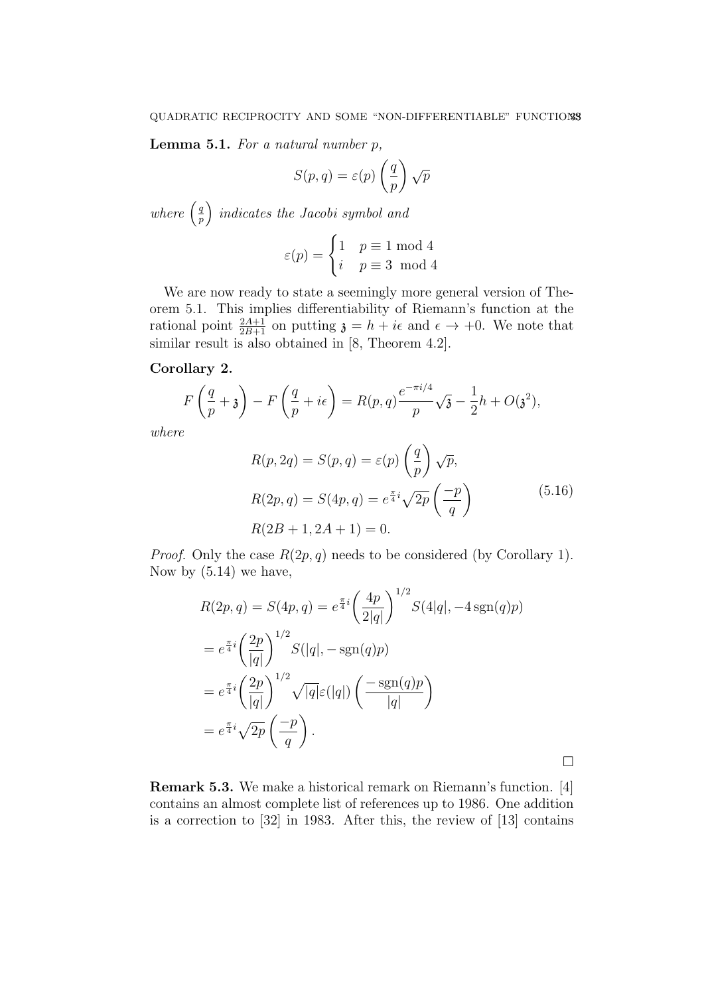**Lemma 5.1.** For a natural number  $p$ ,

$$
S(p,q) = \varepsilon(p) \left(\frac{q}{p}\right) \sqrt{p}
$$

where  $\left(\frac{q}{n}\right)$  $\left(\frac{q}{p}\right)$  indicates the Jacobi symbol and

$$
\varepsilon(p) = \begin{cases} 1 & p \equiv 1 \bmod 4 \\ i & p \equiv 3 \bmod 4 \end{cases}
$$

We are now ready to state a seemingly more general version of Theorem 5.1. This implies differentiability of Riemann's function at the rational point  $\frac{2A+1}{2B+1}$  on putting  $\mathfrak{z} = h + i\epsilon$  and  $\epsilon \to +0$ . We note that similar result is also obtained in [8, Theorem 4.2].

# Corollary 2.

$$
F\left(\frac{q}{p}+\mathfrak{z}\right)-F\left(\frac{q}{p}+i\epsilon\right)=R(p,q)\frac{e^{-\pi i/4}}{p}\sqrt{\mathfrak{z}}-\frac{1}{2}h+O(\mathfrak{z}^2),
$$

where

$$
R(p, 2q) = S(p, q) = \varepsilon(p) \left(\frac{q}{p}\right) \sqrt{p},
$$
  
\n
$$
R(2p, q) = S(4p, q) = e^{\frac{\pi}{4}i} \sqrt{2p} \left(\frac{-p}{q}\right)
$$
  
\n
$$
R(2B + 1, 2A + 1) = 0.
$$
\n(5.16)

*Proof.* Only the case  $R(2p, q)$  needs to be considered (by Corollary 1). Now by (5.14) we have,

$$
R(2p, q) = S(4p, q) = e^{\frac{\pi}{4}i} \left(\frac{4p}{2|q|}\right)^{1/2} S(4|q|, -4\operatorname{sgn}(q)p)
$$
  
=  $e^{\frac{\pi}{4}i} \left(\frac{2p}{|q|}\right)^{1/2} S(|q|, -\operatorname{sgn}(q)p)$   
=  $e^{\frac{\pi}{4}i} \left(\frac{2p}{|q|}\right)^{1/2} \sqrt{|q|} \varepsilon(|q|) \left(\frac{-\operatorname{sgn}(q)p}{|q|}\right)$   
=  $e^{\frac{\pi}{4}i} \sqrt{2p} \left(\frac{-p}{q}\right).$ 

 $\Box$ 

Remark 5.3. We make a historical remark on Riemann's function. [4] contains an almost complete list of references up to 1986. One addition is a correction to [32] in 1983. After this, the review of [13] contains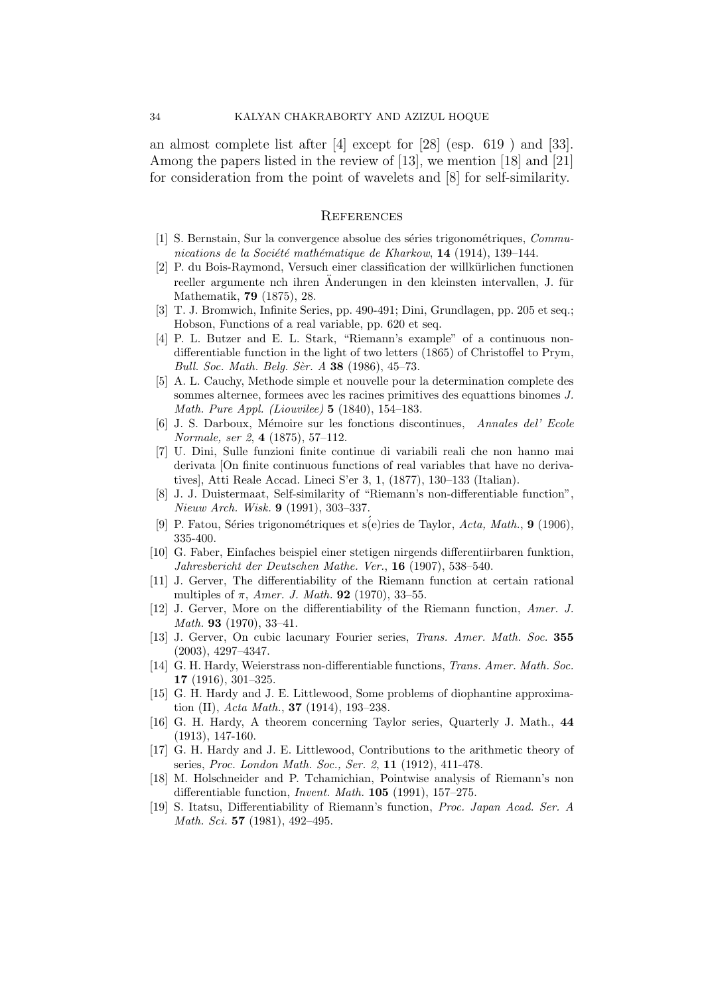an almost complete list after [4] except for [28] (esp. 619 ) and [33]. Among the papers listed in the review of [13], we mention [18] and [21] for consideration from the point of wavelets and [8] for self-similarity.

#### **REFERENCES**

- [1] S. Bernstain, Sur la convergence absolue des séries trigonométriques, Communications de la Société mathématique de Kharkow, 14 (1914), 139–144.
- [2] P. du Bois-Raymond, Versuch einer classification der willkürlichen functionen reeller argumente nch ihren Anderungen in den kleinsten intervallen, J. für Mathematik, 79 (1875), 28.
- [3] T. J. Bromwich, Infinite Series, pp. 490-491; Dini, Grundlagen, pp. 205 et seq.; Hobson, Functions of a real variable, pp. 620 et seq.
- [4] P. L. Butzer and E. L. Stark, "Riemann's example" of a continuous nondifferentiable function in the light of two letters (1865) of Christoffel to Prym, Bull. Soc. Math. Belg. Sèr. A  $38$  (1986), 45–73.
- [5] A. L. Cauchy, Methode simple et nouvelle pour la determination complete des sommes alternee, formees avec les racines primitives des equattions binomes J. Math. Pure Appl. (Liouvilee) 5 (1840), 154–183.
- [6] J. S. Darboux, M´emoire sur les fonctions discontinues, Annales del' Ecole Normale, ser 2, 4 (1875), 57–112.
- [7] U. Dini, Sulle funzioni finite continue di variabili reali che non hanno mai derivata [On finite continuous functions of real variables that have no derivatives], Atti Reale Accad. Lineci S'er 3, 1, (1877), 130–133 (Italian).
- [8] J. J. Duistermaat, Self-similarity of "Riemann's non-differentiable function", Nieuw Arch. Wisk. 9 (1991), 303–337.
- [9] P. Fatou, Séries trigonométriques et s $(e)$ ries de Taylor, Acta, Math., 9 (1906). 335-400.
- [10] G. Faber, Einfaches beispiel einer stetigen nirgends differentiirbaren funktion, Jahresbericht der Deutschen Mathe. Ver., 16 (1907), 538–540.
- [11] J. Gerver, The differentiability of the Riemann function at certain rational multiples of  $\pi$ , *Amer. J. Math.* **92** (1970), 33–55.
- [12] J. Gerver, More on the differentiability of the Riemann function, Amer. J. Math. 93 (1970), 33–41.
- [13] J. Gerver, On cubic lacunary Fourier series, Trans. Amer. Math. Soc. 355 (2003), 4297–4347.
- [14] G. H. Hardy, Weierstrass non-differentiable functions, Trans. Amer. Math. Soc. 17 (1916), 301–325.
- [15] G. H. Hardy and J. E. Littlewood, Some problems of diophantine approximation (II), Acta Math., **37** (1914), 193-238.
- [16] G. H. Hardy, A theorem concerning Taylor series, Quarterly J. Math., 44 (1913), 147-160.
- [17] G. H. Hardy and J. E. Littlewood, Contributions to the arithmetic theory of series, Proc. London Math. Soc., Ser. 2, 11 (1912), 411-478.
- [18] M. Holschneider and P. Tchamichian, Pointwise analysis of Riemann's non differentiable function, Invent. Math. 105 (1991), 157–275.
- [19] S. Itatsu, Differentiability of Riemann's function, Proc. Japan Acad. Ser. A Math. Sci. **57** (1981), 492-495.